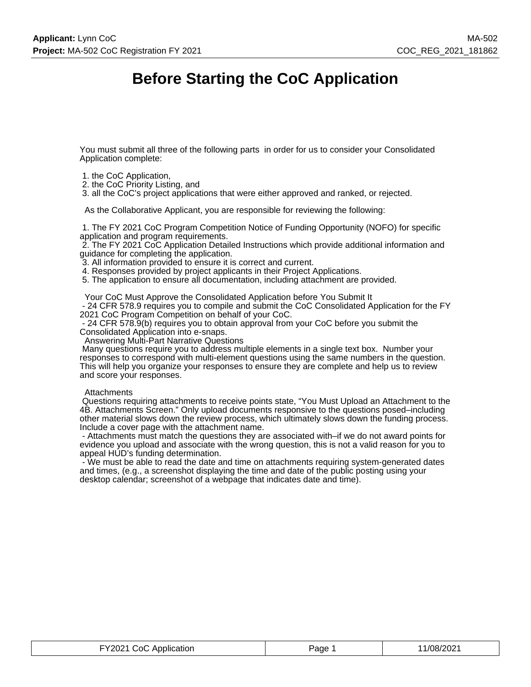# **Before Starting the CoC Application**

You must submit all three of the following parts in order for us to consider your Consolidated Application complete:

- 1. the CoC Application,
- 2. the CoC Priority Listing, and

3. all the CoC's project applications that were either approved and ranked, or rejected.

As the Collaborative Applicant, you are responsible for reviewing the following:

 1. The FY 2021 CoC Program Competition Notice of Funding Opportunity (NOFO) for specific application and program requirements.

 2. The FY 2021 CoC Application Detailed Instructions which provide additional information and guidance for completing the application.

3. All information provided to ensure it is correct and current.

4. Responses provided by project applicants in their Project Applications.

5. The application to ensure all documentation, including attachment are provided.

Your CoC Must Approve the Consolidated Application before You Submit It

 - 24 CFR 578.9 requires you to compile and submit the CoC Consolidated Application for the FY 2021 CoC Program Competition on behalf of your CoC.

 - 24 CFR 578.9(b) requires you to obtain approval from your CoC before you submit the Consolidated Application into e-snaps.

Answering Multi-Part Narrative Questions

 Many questions require you to address multiple elements in a single text box. Number your responses to correspond with multi-element questions using the same numbers in the question. This will help you organize your responses to ensure they are complete and help us to review and score your responses.

#### **Attachments**

 Questions requiring attachments to receive points state, "You Must Upload an Attachment to the 4B. Attachments Screen." Only upload documents responsive to the questions posed–including other material slows down the review process, which ultimately slows down the funding process. Include a cover page with the attachment name.

 - Attachments must match the questions they are associated with–if we do not award points for evidence you upload and associate with the wrong question, this is not a valid reason for you to appeal HUD's funding determination.

 - We must be able to read the date and time on attachments requiring system-generated dates and times, (e.g., a screenshot displaying the time and date of the public posting using your desktop calendar; screenshot of a webpage that indicates date and time).

| FY2021 CoC Application | Page | 11/08/2021 |
|------------------------|------|------------|
|------------------------|------|------------|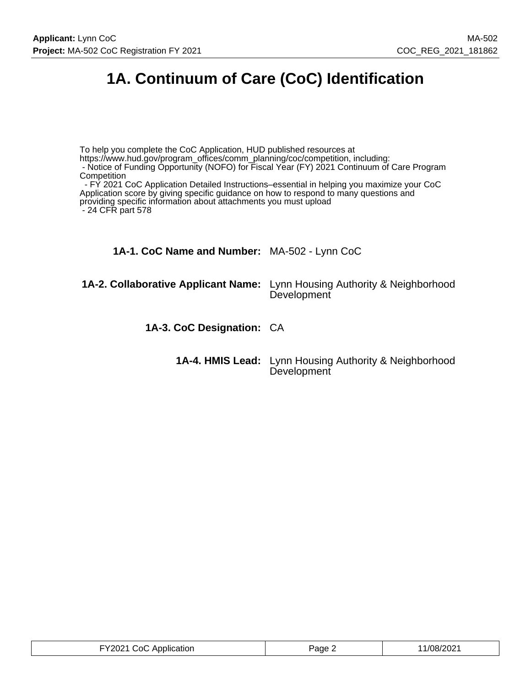# **1A. Continuum of Care (CoC) Identification**

To help you complete the CoC Application, HUD published resources at https://www.hud.gov/program\_offices/comm\_planning/coc/competition, including: - Notice of Funding Opportunity (NOFO) for Fiscal Year (FY) 2021 Continuum of Care Program **Competition**  - FY 2021 CoC Application Detailed Instructions–essential in helping you maximize your CoC Application score by giving specific guidance on how to respond to many questions and providing specific information about attachments you must upload - 24 CFR part 578 **1A-1. CoC Name and Number:** MA-502 - Lynn CoC **1A-2. Collaborative Applicant Name:** Lynn Housing Authority & Neighborhood **Development 1A-3. CoC Designation:** CA **1A-4. HMIS Lead:** Lynn Housing Authority & Neighborhood **Development** 

| FY2021 CoC Application | $P$ age $\sim$ | 11/08/2021 |
|------------------------|----------------|------------|
|------------------------|----------------|------------|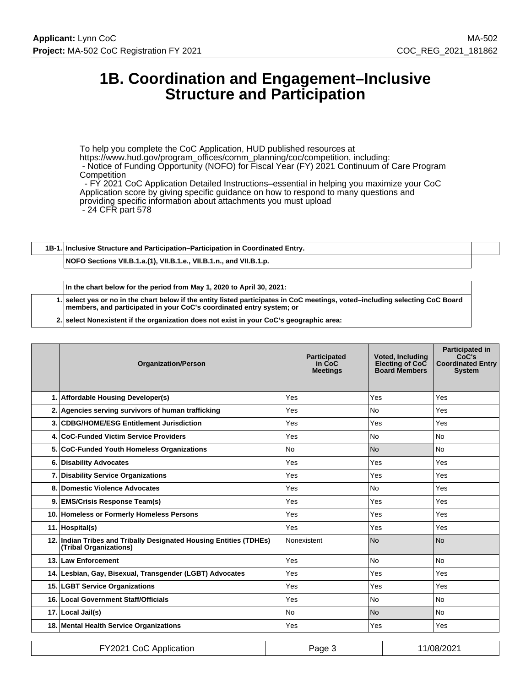# **1B. Coordination and Engagement–Inclusive Structure and Participation**

To help you complete the CoC Application, HUD published resources at https://www.hud.gov/program\_offices/comm\_planning/coc/competition, including: - Notice of Funding Opportunity (NOFO) for Fiscal Year (FY) 2021 Continuum of Care Program **Competition** - FY 2021 CoC Application Detailed Instructions–essential in helping you maximize your CoC

Application score by giving specific guidance on how to respond to many questions and

providing specific information about attachments you must upload

- 24 CFR part 578

**1B-1. Inclusive Structure and Participation–Participation in Coordinated Entry.**

**NOFO Sections VII.B.1.a.(1), VII.B.1.e., VII.B.1.n., and VII.B.1.p.**

**In the chart below for the period from May 1, 2020 to April 30, 2021: 1. select yes or no in the chart below if the entity listed participates in CoC meetings, voted–including selecting CoC Board members, and participated in your CoC's coordinated entry system; or**

**2. select Nonexistent if the organization does not exist in your CoC's geographic area:**

| <b>Organization/Person</b>                                                                   | <b>Participated</b><br>in CoC<br><b>Meetings</b> | <b>Voted, Including</b><br>Electing of CoC<br><b>Board Members</b> | <b>Participated in</b><br>CoC's<br><b>Coordinated Entry</b><br><b>System</b> |
|----------------------------------------------------------------------------------------------|--------------------------------------------------|--------------------------------------------------------------------|------------------------------------------------------------------------------|
| 1. Affordable Housing Developer(s)                                                           | Yes                                              | Yes                                                                | Yes                                                                          |
| 2. Agencies serving survivors of human trafficking                                           | Yes                                              | <b>No</b>                                                          | Yes                                                                          |
| 3. CDBG/HOME/ESG Entitlement Jurisdiction                                                    | Yes                                              | Yes                                                                | Yes                                                                          |
| 4. CoC-Funded Victim Service Providers                                                       | Yes                                              | No                                                                 | <b>No</b>                                                                    |
| 5. CoC-Funded Youth Homeless Organizations                                                   | <b>No</b>                                        | <b>No</b>                                                          | <b>No</b>                                                                    |
| 6. Disability Advocates                                                                      | Yes                                              | Yes                                                                | Yes                                                                          |
| 7. Disability Service Organizations                                                          | Yes                                              | Yes                                                                | Yes                                                                          |
| 8. Domestic Violence Advocates                                                               | Yes                                              | No                                                                 | Yes                                                                          |
| 9. EMS/Crisis Response Team(s)                                                               | Yes                                              | Yes                                                                | Yes                                                                          |
| 10. Homeless or Formerly Homeless Persons                                                    | Yes                                              | Yes                                                                | Yes                                                                          |
| 11. Hospital(s)                                                                              | Yes                                              | Yes                                                                | Yes                                                                          |
| 12. Indian Tribes and Tribally Designated Housing Entities (TDHEs)<br>(Tribal Organizations) | Nonexistent                                      | N <sub>o</sub>                                                     | <b>No</b>                                                                    |
| 13. Law Enforcement                                                                          | Yes                                              | <b>No</b>                                                          | <b>No</b>                                                                    |
| 14. Lesbian, Gay, Bisexual, Transgender (LGBT) Advocates                                     | Yes                                              | Yes                                                                | Yes                                                                          |
| 15. LGBT Service Organizations                                                               | Yes                                              | Yes                                                                | Yes                                                                          |
| 16. Local Government Staff/Officials                                                         | Yes                                              | No.                                                                | <b>No</b>                                                                    |
| 17. Local Jail(s)                                                                            | <b>No</b>                                        | <b>No</b>                                                          | <b>No</b>                                                                    |
| 18. Mental Health Service Organizations                                                      | Yes                                              | Yes                                                                | Yes                                                                          |
|                                                                                              |                                                  |                                                                    |                                                                              |

| FY2021 CoC Application | Page 5 | 11/08/2021 |
|------------------------|--------|------------|
|------------------------|--------|------------|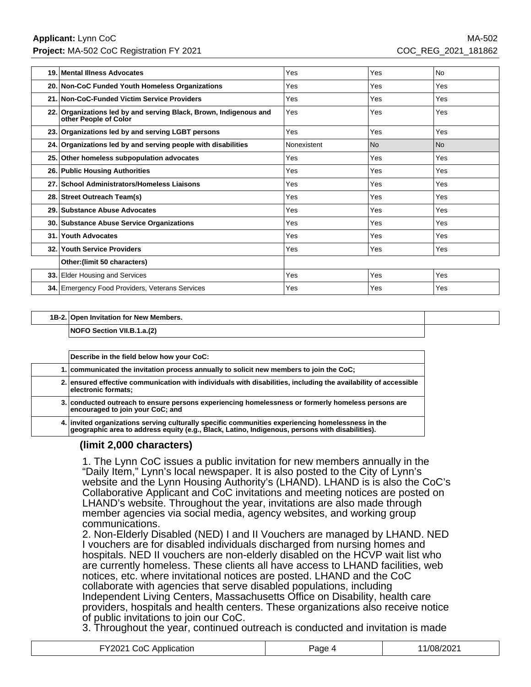**Applicant:** Lynn CoC MA-502 **Project:** MA-502 CoC Registration FY 2021 COC\_REG\_2021\_181862

| 19. | Mental Illness Advocates                                                                   | Yes         | Yes        | <b>No</b> |
|-----|--------------------------------------------------------------------------------------------|-------------|------------|-----------|
|     | 20. Non-CoC Funded Youth Homeless Organizations                                            | Yes         | Yes        | Yes       |
|     | 21. Non-CoC-Funded Victim Service Providers                                                | Yes         | Yes        | Yes       |
|     | 22. Organizations led by and serving Black, Brown, Indigenous and<br>other People of Color | Yes         | <b>Yes</b> | Yes       |
|     | 23. Organizations led by and serving LGBT persons                                          | Yes         | Yes        | Yes       |
|     | 24. Organizations led by and serving people with disabilities                              | Nonexistent | l No       | <b>No</b> |
|     | 25. Other homeless subpopulation advocates                                                 | Yes         | Yes        | Yes       |
|     | 26. Public Housing Authorities                                                             | Yes         | Yes        | Yes       |
|     | 27. School Administrators/Homeless Liaisons                                                | Yes         | Yes        | Yes       |
|     | 28. Street Outreach Team(s)                                                                | Yes         | Yes        | Yes       |
|     | 29. Substance Abuse Advocates                                                              | Yes         | Yes        | Yes       |
|     | 30. Substance Abuse Service Organizations                                                  | Yes         | Yes        | Yes       |
| 31. | <b>Youth Advocates</b>                                                                     | Yes         | Yes        | Yes       |
|     | 32. Youth Service Providers                                                                | Yes         | Yes        | Yes       |
|     | Other: (limit 50 characters)                                                               |             |            |           |
|     | 33. Elder Housing and Services                                                             | Yes         | Yes        | Yes       |
|     | 34. Emergency Food Providers, Veterans Services                                            | Yes         | Yes        | Yes       |

#### **1B-2. Open Invitation for New Members.**

**NOFO Section VII.B.1.a.(2)**

| Describe in the field below how your CoC:                                                                                                                                                         |
|---------------------------------------------------------------------------------------------------------------------------------------------------------------------------------------------------|
| 1. communicated the invitation process annually to solicit new members to join the CoC;                                                                                                           |
| 2. ensured effective communication with individuals with disabilities, including the availability of accessible<br>electronic formats;                                                            |
| 3. conducted outreach to ensure persons experiencing homelessness or formerly homeless persons are<br>encouraged to join your CoC; and                                                            |
| 4. invited organizations serving culturally specific communities experiencing homelessness in the geographic area to address equity (e.g., Black, Latino, Indigenous, persons with disabilities). |

### **(limit 2,000 characters)**

1. The Lynn CoC issues a public invitation for new members annually in the "Daily Item," Lynn's local newspaper. It is also posted to the City of Lynn's website and the Lynn Housing Authority's (LHAND). LHAND is is also the CoC's Collaborative Applicant and CoC invitations and meeting notices are posted on LHAND's website. Throughout the year, invitations are also made through member agencies via social media, agency websites, and working group communications.

2. Non-Elderly Disabled (NED) I and II Vouchers are managed by LHAND. NED I vouchers are for disabled individuals discharged from nursing homes and hospitals. NED II vouchers are non-elderly disabled on the HCVP wait list who are currently homeless. These clients all have access to LHAND facilities, web notices, etc. where invitational notices are posted. LHAND and the CoC collaborate with agencies that serve disabled populations, including Independent Living Centers, Massachusetts Office on Disability, health care providers, hospitals and health centers. These organizations also receive notice of public invitations to join our CoC.

3. Throughout the year, continued outreach is conducted and invitation is made

| FY2021 CoC Application | Page 4 | 11/08/2021 |
|------------------------|--------|------------|
|------------------------|--------|------------|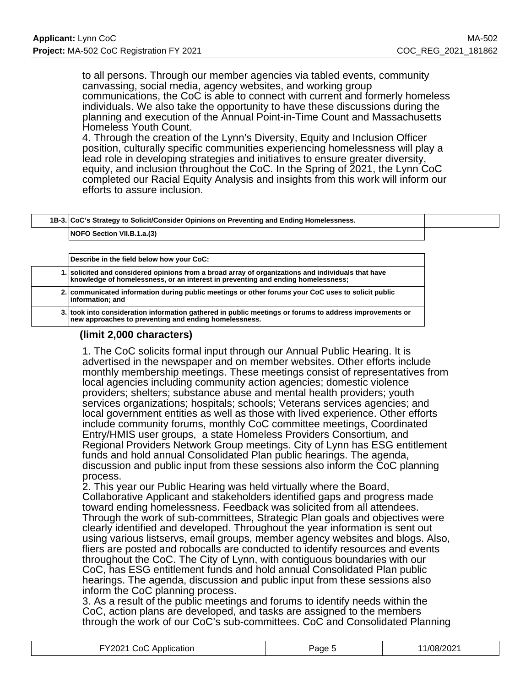to all persons. Through our member agencies via tabled events, community canvassing, social media, agency websites, and working group communications, the CoC is able to connect with current and formerly homeless individuals. We also take the opportunity to have these discussions during the planning and execution of the Annual Point-in-Time Count and Massachusetts Homeless Youth Count.

4. Through the creation of the Lynn's Diversity, Equity and Inclusion Officer position, culturally specific communities experiencing homelessness will play a lead role in developing strategies and initiatives to ensure greater diversity, equity, and inclusion throughout the CoC. In the Spring of 2021, the Lynn CoC completed our Racial Equity Analysis and insights from this work will inform our efforts to assure inclusion.

| 1B-3. CoC's Strategy to Solicit/Consider Opinions on Preventing and Ending Homelessness.                                                                                            |
|-------------------------------------------------------------------------------------------------------------------------------------------------------------------------------------|
| <b>NOFO Section VII.B.1.a.(3)</b>                                                                                                                                                   |
|                                                                                                                                                                                     |
| Describe in the field below how your CoC:                                                                                                                                           |
| solicited and considered opinions from a broad array of organizations and individuals that have<br>knowledge of homelessness, or an interest in preventing and ending homelessness; |
| 2. communicated information during public meetings or other forums your CoC uses to solicit public<br>information; and                                                              |
| 3. took into consideration information gathered in public meetings or forums to address improvements or<br>new approaches to preventing and ending homelessness.                    |

# **(limit 2,000 characters)**

1. The CoC solicits formal input through our Annual Public Hearing. It is advertised in the newspaper and on member websites. Other efforts include monthly membership meetings. These meetings consist of representatives from local agencies including community action agencies; domestic violence providers; shelters; substance abuse and mental health providers; youth services organizations; hospitals; schools; Veterans services agencies; and local government entities as well as those with lived experience. Other efforts include community forums, monthly CoC committee meetings, Coordinated Entry/HMIS user groups, a state Homeless Providers Consortium, and Regional Providers Network Group meetings. City of Lynn has ESG entitlement funds and hold annual Consolidated Plan public hearings. The agenda, discussion and public input from these sessions also inform the CoC planning process.

2. This year our Public Hearing was held virtually where the Board, Collaborative Applicant and stakeholders identified gaps and progress made toward ending homelessness. Feedback was solicited from all attendees. Through the work of sub-committees, Strategic Plan goals and objectives were clearly identified and developed. Throughout the year information is sent out using various listservs, email groups, member agency websites and blogs. Also, fliers are posted and robocalls are conducted to identify resources and events throughout the CoC. The City of Lynn, with contiguous boundaries with our CoC, has ESG entitlement funds and hold annual Consolidated Plan public hearings. The agenda, discussion and public input from these sessions also inform the CoC planning process.

3. As a result of the public meetings and forums to identify needs within the CoC, action plans are developed, and tasks are assigned to the members through the work of our CoC's sub-committees. CoC and Consolidated Planning

| EV'<br>:വ<br>. .<br><b>ATIOP</b><br>эн<br>ונז<br>. <b>.</b> | 3002<br>ane | JZ |
|-------------------------------------------------------------|-------------|----|
|-------------------------------------------------------------|-------------|----|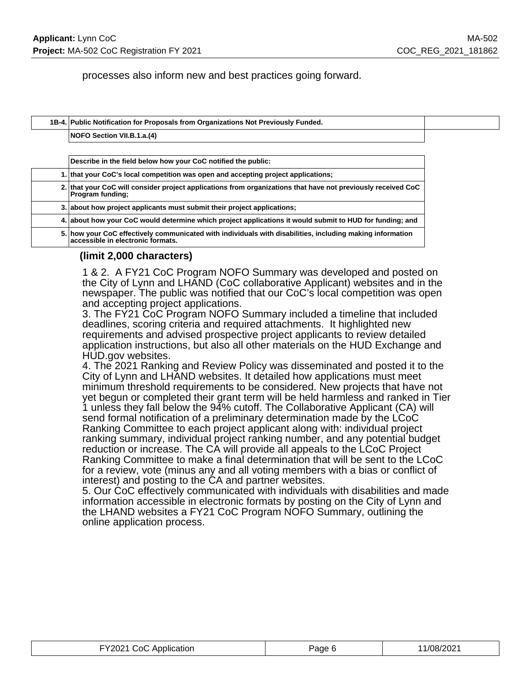processes also inform new and best practices going forward.

| 1B-4. Public Notification for Proposals from Organizations Not Previously Funded. |  |
|-----------------------------------------------------------------------------------|--|
| NOFO Section VII.B.1.a.(4)                                                        |  |

| Describe in the field below how your CoC notified the public:                                                                                  |
|------------------------------------------------------------------------------------------------------------------------------------------------|
| 1. that your CoC's local competition was open and accepting project applications;                                                              |
| 2. that your CoC will consider project applications from organizations that have not previously received CoC<br>Program funding;               |
| 3. about how project applicants must submit their project applications;                                                                        |
| 4. about how your CoC would determine which project applications it would submit to HUD for funding; and                                       |
| 5. how your CoC effectively communicated with individuals with disabilities, including making information<br>accessible in electronic formats. |

### **(limit 2,000 characters)**

1 & 2. A FY21 CoC Program NOFO Summary was developed and posted on the City of Lynn and LHAND (CoC collaborative Applicant) websites and in the newspaper. The public was notified that our CoC's local competition was open and accepting project applications.

3. The FY21 CoC Program NOFO Summary included a timeline that included deadlines, scoring criteria and required attachments. It highlighted new requirements and advised prospective project applicants to review detailed application instructions, but also all other materials on the HUD Exchange and HUD.gov websites.

4. The 2021 Ranking and Review Policy was disseminated and posted it to the City of Lynn and LHAND websites. It detailed how applications must meet minimum threshold requirements to be considered. New projects that have not yet begun or completed their grant term will be held harmless and ranked in Tier 1 unless they fall below the 94% cutoff. The Collaborative Applicant (CA) will send formal notification of a preliminary determination made by the LCoC Ranking Committee to each project applicant along with: individual project ranking summary, individual project ranking number, and any potential budget reduction or increase. The CA will provide all appeals to the LCoC Project Ranking Committee to make a final determination that will be sent to the LCoC for a review, vote (minus any and all voting members with a bias or conflict of interest) and posting to the CA and partner websites.

5. Our CoC effectively communicated with individuals with disabilities and made information accessible in electronic formats by posting on the City of Lynn and the LHAND websites a FY21 CoC Program NOFO Summary, outlining the online application process.

| FY2021 CoC Application | Page 6 | 11/08/2021 |
|------------------------|--------|------------|
|------------------------|--------|------------|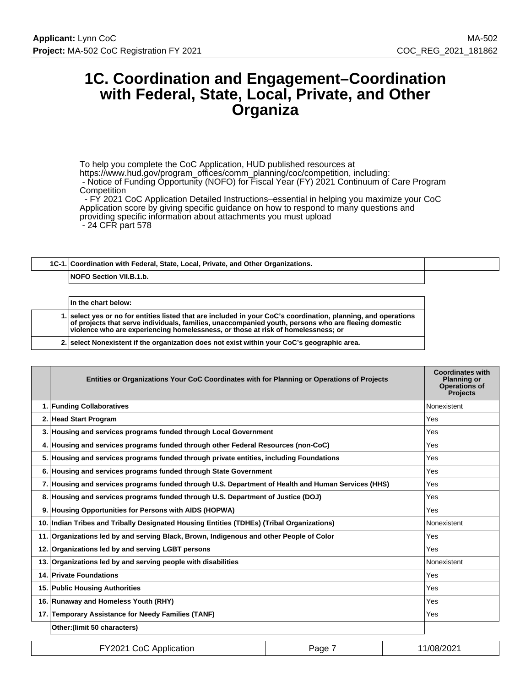# **1C. Coordination and Engagement–Coordination with Federal, State, Local, Private, and Other Organiza**

To help you complete the CoC Application, HUD published resources at https://www.hud.gov/program\_offices/comm\_planning/coc/competition, including: - Notice of Funding Opportunity (NOFO) for Fiscal Year (FY) 2021 Continuum of Care Program **Competition** 

 - FY 2021 CoC Application Detailed Instructions–essential in helping you maximize your CoC Application score by giving specific guidance on how to respond to many questions and providing specific information about attachments you must upload - 24 CFR part 578

# **1C-1. Coordination with Federal, State, Local, Private, and Other Organizations. NOFO Section VII.B.1.b.**

| In the chart below:                                                                                                                                                                                                                                                                                        |
|------------------------------------------------------------------------------------------------------------------------------------------------------------------------------------------------------------------------------------------------------------------------------------------------------------|
| 1. select ves or no for entities listed that are included in your CoC's coordination, planning, and operations<br>of projects that serve individuals, families, unaccompanied youth, persons who are fleeling domestic<br>violence who are experiencing homelessness, or those at risk of homelessness; or |
| 2. select Nonexistent if the organization does not exist within your CoC's geographic area.                                                                                                                                                                                                                |

|    | Entities or Organizations Your CoC Coordinates with for Planning or Operations of Projects         | <b>Coordinates with</b><br><b>Planning or</b><br><b>Operations of</b><br><b>Projects</b> |
|----|----------------------------------------------------------------------------------------------------|------------------------------------------------------------------------------------------|
|    | 1. Funding Collaboratives                                                                          | Nonexistent                                                                              |
|    | 2. Head Start Program                                                                              | Yes                                                                                      |
| 3. | Housing and services programs funded through Local Government                                      | Yes                                                                                      |
|    | 4. Housing and services programs funded through other Federal Resources (non-CoC)                  | <b>Yes</b>                                                                               |
|    | 5. Housing and services programs funded through private entities, including Foundations            | Yes                                                                                      |
| 6. | Housing and services programs funded through State Government                                      | Yes                                                                                      |
|    | 7. Housing and services programs funded through U.S. Department of Health and Human Services (HHS) | Yes                                                                                      |
| 8. | Housing and services programs funded through U.S. Department of Justice (DOJ)                      | <b>Yes</b>                                                                               |
| 9. | Housing Opportunities for Persons with AIDS (HOPWA)                                                | <b>Yes</b>                                                                               |
|    | 10. Indian Tribes and Tribally Designated Housing Entities (TDHEs) (Tribal Organizations)          | Nonexistent                                                                              |
|    | 11. Organizations led by and serving Black, Brown, Indigenous and other People of Color            | Yes                                                                                      |
|    | 12. Organizations led by and serving LGBT persons                                                  | Yes                                                                                      |
|    | 13. Organizations led by and serving people with disabilities                                      | Nonexistent                                                                              |
|    | 14. Private Foundations                                                                            | Yes                                                                                      |
|    | 15. Public Housing Authorities                                                                     | <b>Yes</b>                                                                               |
|    | 16. Runaway and Homeless Youth (RHY)                                                               | Yes                                                                                      |
|    | 17. Temporary Assistance for Needy Families (TANF)                                                 | Yes                                                                                      |
|    | Other: (limit 50 characters)                                                                       |                                                                                          |

| FY2021 CoC Application | Page | 11/08/2021 |
|------------------------|------|------------|
|------------------------|------|------------|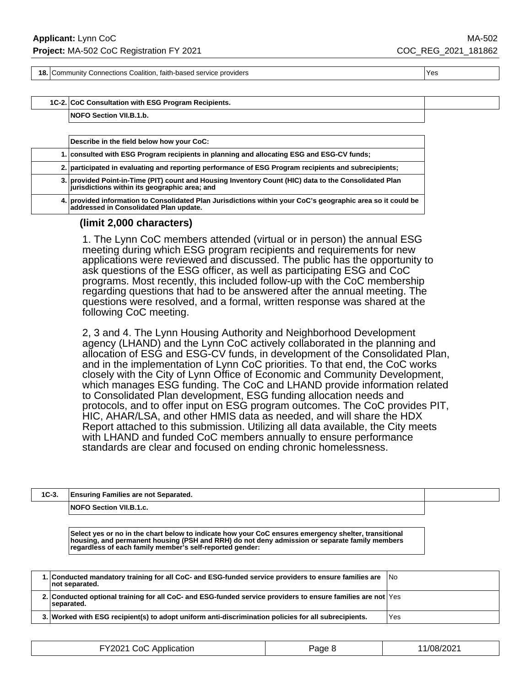**18.** Community Connections Coalition, faith-based service providers **Yes** Yes

**1C-2. CoC Consultation with ESG Program Recipients.**

**NOFO Section VII.B.1.b.**

| Describe in the field below how your CoC:                                                                                                              |
|--------------------------------------------------------------------------------------------------------------------------------------------------------|
| 1. consulted with ESG Program recipients in planning and allocating ESG and ESG-CV funds;                                                              |
| 2. participated in evaluating and reporting performance of ESG Program recipients and subrecipients;                                                   |
| 3. provided Point-in-Time (PIT) count and Housing Inventory Count (HIC) data to the Consolidated Plan<br>jurisdictions within its geographic area; and |
| 4. provided information to Consolidated Plan Jurisdictions within your CoC's geographic area so it could be<br>addressed in Consolidated Plan update.  |

#### **(limit 2,000 characters)**

1. The Lynn CoC members attended (virtual or in person) the annual ESG meeting during which ESG program recipients and requirements for new applications were reviewed and discussed. The public has the opportunity to ask questions of the ESG officer, as well as participating ESG and CoC programs. Most recently, this included follow-up with the CoC membership regarding questions that had to be answered after the annual meeting. The questions were resolved, and a formal, written response was shared at the following CoC meeting.

2, 3 and 4. The Lynn Housing Authority and Neighborhood Development agency (LHAND) and the Lynn CoC actively collaborated in the planning and allocation of ESG and ESG-CV funds, in development of the Consolidated Plan, and in the implementation of Lynn CoC priorities. To that end, the CoC works closely with the City of Lynn Office of Economic and Community Development, which manages ESG funding. The CoC and LHAND provide information related to Consolidated Plan development, ESG funding allocation needs and protocols, and to offer input on ESG program outcomes. The CoC provides PIT, HIC, AHAR/LSA, and other HMIS data as needed, and will share the HDX Report attached to this submission. Utilizing all data available, the City meets with LHAND and funded CoC members annually to ensure performance standards are clear and focused on ending chronic homelessness.

| 1C-3. | <b>Ensuring Families are not Separated.</b> |  |
|-------|---------------------------------------------|--|
|       | <b>NOFO Section VII.B.1.c.</b>              |  |
|       |                                             |  |

**Select yes or no in the chart below to indicate how your CoC ensures emergency shelter, transitional housing, and permanent housing (PSH and RRH) do not deny admission or separate family members regardless of each family member's self-reported gender:**

| 1. Conducted mandatory training for all CoC- and ESG-funded service providers to ensure families are<br>not separated.    | 1No |
|---------------------------------------------------------------------------------------------------------------------------|-----|
| 2. Conducted optional training for all CoC- and ESG-funded service providers to ensure families are not Yes<br>separated. |     |
| 3. Worked with ESG recipient(s) to adopt uniform anti-discrimination policies for all subrecipients.                      | Yes |

| <br>Y2021 <del>.</del><br>ാറി<br>' Application<br>. | Page. | 1/08/202 |
|-----------------------------------------------------|-------|----------|
|-----------------------------------------------------|-------|----------|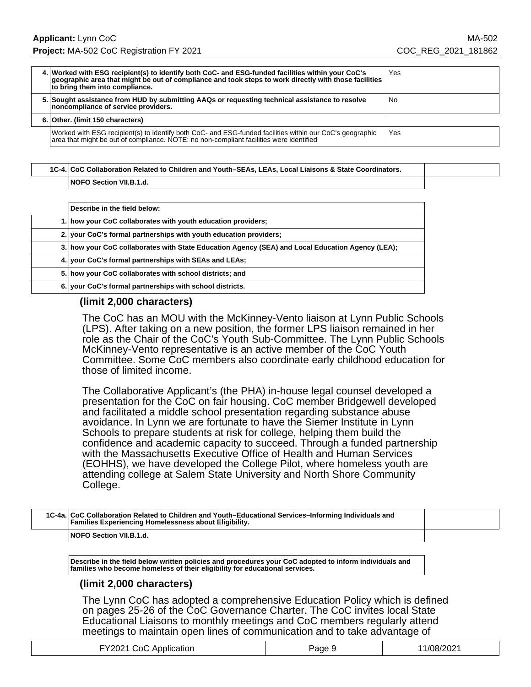| 4. Worked with ESG recipient(s) to identify both CoC- and ESG-funded facilities within your CoC's<br>geographic area that might be out of compliance and took steps to work directly with those facilities<br>to bring them into compliance. | Yes |
|----------------------------------------------------------------------------------------------------------------------------------------------------------------------------------------------------------------------------------------------|-----|
| 5. Sought assistance from HUD by submitting AAQs or requesting technical assistance to resolve<br>noncompliance of service providers.                                                                                                        | No. |
| 6. Other. (limit 150 characters)                                                                                                                                                                                                             |     |
| Worked with ESG recipient(s) to identify both CoC- and ESG-funded facilities within our CoC's geographic<br>area that might be out of compliance. NOTE: no non-compliant facilities were identified                                          | Yes |

# **1C-4. CoC Collaboration Related to Children and Youth–SEAs, LEAs, Local Liaisons & State Coordinators. NOFO Section VII.B.1.d.**

| Describe in the field below:                                                                     |
|--------------------------------------------------------------------------------------------------|
| 1. how your CoC collaborates with youth education providers;                                     |
| 2. your CoC's formal partnerships with youth education providers;                                |
| 3. how your CoC collaborates with State Education Agency (SEA) and Local Education Agency (LEA); |
| 4. Vour CoC's formal partnerships with SEAs and LEAs;                                            |
| 5. how your CoC collaborates with school districts; and                                          |
| 6. your CoC's formal partnerships with school districts.                                         |

### **(limit 2,000 characters)**

The CoC has an MOU with the McKinney-Vento liaison at Lynn Public Schools (LPS). After taking on a new position, the former LPS liaison remained in her role as the Chair of the CoC's Youth Sub-Committee. The Lynn Public Schools McKinney-Vento representative is an active member of the CoC Youth Committee. Some CoC members also coordinate early childhood education for those of limited income.

The Collaborative Applicant's (the PHA) in-house legal counsel developed a presentation for the CoC on fair housing. CoC member Bridgewell developed and facilitated a middle school presentation regarding substance abuse avoidance. In Lynn we are fortunate to have the Siemer Institute in Lynn Schools to prepare students at risk for college, helping them build the confidence and academic capacity to succeed. Through a funded partnership with the Massachusetts Executive Office of Health and Human Services (EOHHS), we have developed the College Pilot, where homeless youth are attending college at Salem State University and North Shore Community College.

| 1C-4a. CoC Collaboration Related to Children and Youth–Educational Services–Informing Individuals and<br><b>Families Experiencing Homelessness about Eligibility.</b> |  |
|-----------------------------------------------------------------------------------------------------------------------------------------------------------------------|--|
| <b>NOFO Section VII.B.1.d.</b>                                                                                                                                        |  |
|                                                                                                                                                                       |  |

**Describe in the field below written policies and procedures your CoC adopted to inform individuals and families who become homeless of their eligibility for educational services.**

### **(limit 2,000 characters)**

The Lynn CoC has adopted a comprehensive Education Policy which is defined on pages 25-26 of the CoC Governance Charter. The CoC invites local State Educational Liaisons to monthly meetings and CoC members regularly attend meetings to maintain open lines of communication and to take advantage of

| FY2021 CoC Application | Page 9 | 11/08/2021 |
|------------------------|--------|------------|
|------------------------|--------|------------|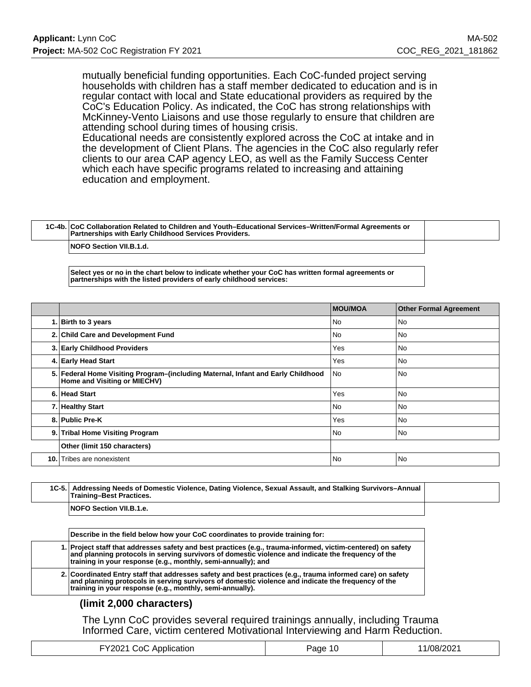mutually beneficial funding opportunities. Each CoC-funded project serving households with children has a staff member dedicated to education and is in regular contact with local and State educational providers as required by the CoC's Education Policy. As indicated, the CoC has strong relationships with McKinney-Vento Liaisons and use those regularly to ensure that children are attending school during times of housing crisis.

Educational needs are consistently explored across the CoC at intake and in the development of Client Plans. The agencies in the CoC also regularly refer clients to our area CAP agency LEO, as well as the Family Success Center which each have specific programs related to increasing and attaining education and employment.

**1C-4b. CoC Collaboration Related to Children and Youth–Educational Services–Written/Formal Agreements or Partnerships with Early Childhood Services Providers.**

**NOFO Section VII.B.1.d.**

**Select yes or no in the chart below to indicate whether your CoC has written formal agreements or partnerships with the listed providers of early childhood services:**

|     |                                                                                                                  | <b>MOU/MOA</b> | <b>Other Formal Agreement</b> |
|-----|------------------------------------------------------------------------------------------------------------------|----------------|-------------------------------|
|     | 1. Birth to 3 years                                                                                              | No             | No                            |
|     | 2. Child Care and Development Fund                                                                               | No             | No                            |
|     | 3. Early Childhood Providers                                                                                     | Yes            | No                            |
|     | 4. Early Head Start                                                                                              | Yes            | No                            |
|     | 5. Federal Home Visiting Program–(including Maternal, Infant and Early Childhood<br>Home and Visiting or MIECHV) | No             | <b>No</b>                     |
|     | 6. Head Start                                                                                                    | Yes            | <b>No</b>                     |
|     | 7. Healthy Start                                                                                                 | No             | <b>No</b>                     |
|     | 8. Public Pre-K                                                                                                  | Yes            | <b>No</b>                     |
|     | 9. Tribal Home Visiting Program                                                                                  | No             | l No                          |
|     | Other (limit 150 characters)                                                                                     |                |                               |
| 10. | Tribes are nonexistent                                                                                           | No             | <b>No</b>                     |

**1C-5. Addressing Needs of Domestic Violence, Dating Violence, Sexual Assault, and Stalking Survivors–Annual Training–Best Practices. NOFO Section VII.B.1.e.**

**Describe in the field below how your CoC coordinates to provide training for:**

**1. Project staff that addresses safety and best practices (e.g., trauma-informed, victim-centered) on safety and planning protocols in serving survivors of domestic violence and indicate the frequency of the training in your response (e.g., monthly, semi-annually); and**

**2. Coordinated Entry staff that addresses safety and best practices (e.g., trauma informed care) on safety and planning protocols in serving survivors of domestic violence and indicate the frequency of the training in your response (e.g., monthly, semi-annually).**

### **(limit 2,000 characters)**

The Lynn CoC provides several required trainings annually, including Trauma Informed Care, victim centered Motivational Interviewing and Harm Reduction.

| FY2021 CoC Application | Page 10 | 11/08/2021 |
|------------------------|---------|------------|
|------------------------|---------|------------|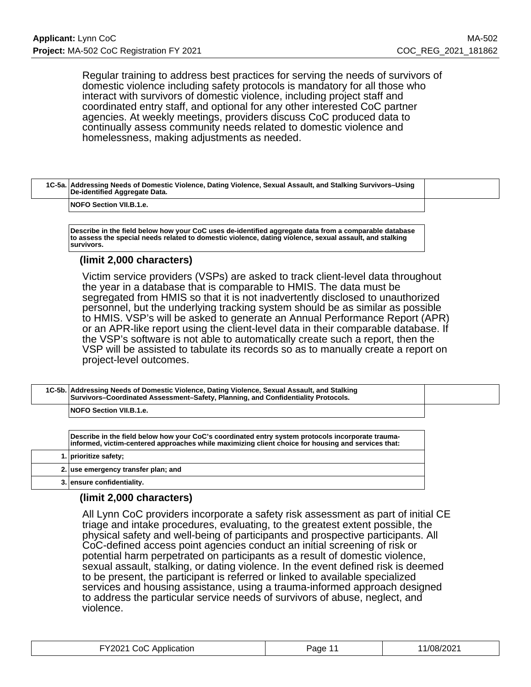Regular training to address best practices for serving the needs of survivors of domestic violence including safety protocols is mandatory for all those who interact with survivors of domestic violence, including project staff and coordinated entry staff, and optional for any other interested CoC partner agencies. At weekly meetings, providers discuss CoC produced data to continually assess community needs related to domestic violence and homelessness, making adjustments as needed.

| 1C-5a. Addressing Needs of Domestic Violence, Dating Violence, Sexual Assault, and Stalking Survivors-Using<br>De-identified Aggregate Data. |  |
|----------------------------------------------------------------------------------------------------------------------------------------------|--|
|                                                                                                                                              |  |

#### **NOFO Section VII.B.1.e.**

**Describe in the field below how your CoC uses de-identified aggregate data from a comparable database to assess the special needs related to domestic violence, dating violence, sexual assault, and stalking survivors.**

### **(limit 2,000 characters)**

Victim service providers (VSPs) are asked to track client-level data throughout the year in a database that is comparable to HMIS. The data must be segregated from HMIS so that it is not inadvertently disclosed to unauthorized personnel, but the underlying tracking system should be as similar as possible to HMIS. VSP's will be asked to generate an Annual Performance Report (APR) or an APR-like report using the client-level data in their comparable database. If the VSP's software is not able to automatically create such a report, then the VSP will be assisted to tabulate its records so as to manually create a report on project-level outcomes.

| 1C-5b. Addressing Needs of Domestic Violence, Dating Violence, Sexual Assault, and Stalking<br>Survivors-Coordinated Assessment-Safety, Planning, and Confidentiality Protocols. |  |
|----------------------------------------------------------------------------------------------------------------------------------------------------------------------------------|--|
| <b>NOFO Section VII.B.1.e.</b>                                                                                                                                                   |  |

| Describe in the field below how your CoC's coordinated entry system protocols incorporate trauma-<br>informed, victim-centered approaches while maximizing client choice for housing and services that: |
|---------------------------------------------------------------------------------------------------------------------------------------------------------------------------------------------------------|
| 1. prioritize safety;                                                                                                                                                                                   |
| 2. use emergency transfer plan; and                                                                                                                                                                     |
| 3. ensure confidentiality.                                                                                                                                                                              |

### **(limit 2,000 characters)**

All Lynn CoC providers incorporate a safety risk assessment as part of initial CE triage and intake procedures, evaluating, to the greatest extent possible, the physical safety and well-being of participants and prospective participants. All CoC-defined access point agencies conduct an initial screening of risk or potential harm perpetrated on participants as a result of domestic violence, sexual assault, stalking, or dating violence. In the event defined risk is deemed to be present, the participant is referred or linked to available specialized services and housing assistance, using a trauma-informed approach designed to address the particular service needs of survivors of abuse, neglect, and violence.

| FY2021 CoC Application | Page 11 | 11/08/2021 |
|------------------------|---------|------------|
|------------------------|---------|------------|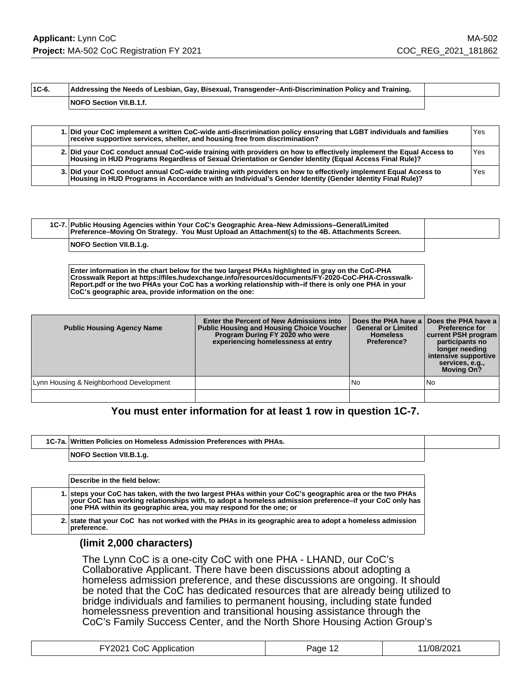**1C-6. Addressing the Needs of Lesbian, Gay, Bisexual, Transgender–Anti-Discrimination Policy and Training. NOFO Section VII.B.1.f.**

|  | 1. Did your CoC implement a written CoC-wide anti-discrimination policy ensuring that LGBT individuals and families<br>receive supportive services, shelter, and housing free from discrimination?                            | Yes |
|--|-------------------------------------------------------------------------------------------------------------------------------------------------------------------------------------------------------------------------------|-----|
|  | 2. Did your CoC conduct annual CoC-wide training with providers on how to effectively implement the Equal Access to<br>Housing in HUD Programs Regardless of Sexual Orientation or Gender Identity (Equal Access Final Rule)? | Yes |
|  | 3. Did your CoC conduct annual CoC-wide training with providers on how to effectively implement Equal Access to<br>Housing in HUD Programs in Accordance with an Individual's Gender Identity (Gender Identity Final Rule)?   | Yes |

| 1C-7. Public Housing Agencies within Your CoC's Geographic Area–New Admissions–General/Limited<br>Preference–Moving On Strategy. You Must Upload an Attachment(s) to the 4B. Attachments Screen. |  |
|--------------------------------------------------------------------------------------------------------------------------------------------------------------------------------------------------|--|
| NOFO Section VII.B.1.g.                                                                                                                                                                          |  |

**Enter information in the chart below for the two largest PHAs highlighted in gray on the CoC-PHA Crosswalk Report at https://files.hudexchange.info/resources/documents/FY-2020-CoC-PHA-Crosswalk-Report.pdf or the two PHAs your CoC has a working relationship with–if there is only one PHA in your CoC's geographic area, provide information on the one:**

| <b>Public Housing Agency Name</b>       | Enter the Percent of New Admissions into<br><b>Public Housing and Housing Choice Voucher</b><br>Program During FY 2020 who were<br>experiencing homelessness at entry | <b>General or Limited</b><br><b>Homeless</b><br>Preference? | Does the PHA have a Does the PHA have a<br><b>Preference for</b><br>current PSH program<br>participants no<br>longer needing<br>intensive supportive<br>services, e.g.,<br><b>Moving On?</b> |
|-----------------------------------------|-----------------------------------------------------------------------------------------------------------------------------------------------------------------------|-------------------------------------------------------------|----------------------------------------------------------------------------------------------------------------------------------------------------------------------------------------------|
| Lynn Housing & Neighborhood Development |                                                                                                                                                                       | <b>No</b>                                                   | No                                                                                                                                                                                           |
|                                         |                                                                                                                                                                       |                                                             |                                                                                                                                                                                              |

# **You must enter information for at least 1 row in question 1C-7.**

| 1C-7a. Written Policies on Homeless Admission Preferences with PHAs. |  |
|----------------------------------------------------------------------|--|
| NOFO Section VII.B.1.g.                                              |  |

| Describe in the field below:                                                                                                                                                                                                                                                              |
|-------------------------------------------------------------------------------------------------------------------------------------------------------------------------------------------------------------------------------------------------------------------------------------------|
| 1. steps your CoC has taken, with the two largest PHAs within your CoC's geographic area or the two PHAs<br>your CoC has working relationships with, to adopt a homeless admission preference-if your CoC only has<br>one PHA within its geographic area, you may respond for the one; or |
| 2. state that your CoC has not worked with the PHAs in its geographic area to adopt a homeless admission<br>Ipreference.                                                                                                                                                                  |

### **(limit 2,000 characters)**

The Lynn CoC is a one-city CoC with one PHA - LHAND, our CoC's Collaborative Applicant. There have been discussions about adopting a homeless admission preference, and these discussions are ongoing. It should be noted that the CoC has dedicated resources that are already being utilized to bridge individuals and families to permanent housing, including state funded homelessness prevention and transitional housing assistance through the CoC's Family Success Center, and the North Shore Housing Action Group's

| FY2021 CoC Application | Page 12 | 1/08/2021 |
|------------------------|---------|-----------|
|------------------------|---------|-----------|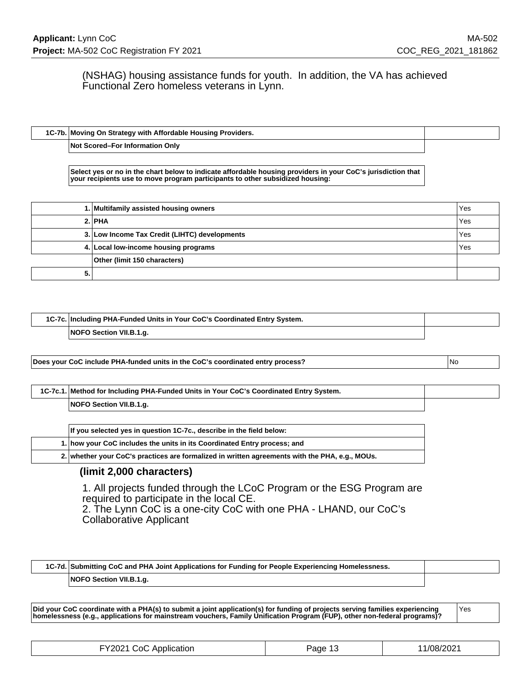(NSHAG) housing assistance funds for youth. In addition, the VA has achieved Functional Zero homeless veterans in Lynn.

**1C-7b. Moving On Strategy with Affordable Housing Providers. Not Scored–For Information Only**

**Select yes or no in the chart below to indicate affordable housing providers in your CoC's jurisdiction that your recipients use to move program participants to other subsidized housing:**

|    | 1. Multifamily assisted housing owners        | l Yes |
|----|-----------------------------------------------|-------|
|    | 2. PHA                                        | l Yes |
|    | 3. Low Income Tax Credit (LIHTC) developments | Yes   |
|    | 4. Local low-income housing programs          | Yes   |
|    | Other (limit 150 characters)                  |       |
| 5. |                                               |       |

| 1C-7c. Including PHA-Funded Units in Your CoC's Coordinated Entry System. |                         |  |
|---------------------------------------------------------------------------|-------------------------|--|
|                                                                           | NOFO Section VII.B.1.g. |  |

**Does your CoC include PHA-funded units in the CoC's coordinated entry process?** No

| 1C-7c.1. Method for Including PHA-Funded Units in Your CoC's Coordinated Entry System. |
|----------------------------------------------------------------------------------------|
| NOFO Section VII.B.1.g.                                                                |

| If you selected yes in question 1C-7c., describe in the field below: |  |                                                                                                |
|----------------------------------------------------------------------|--|------------------------------------------------------------------------------------------------|
|                                                                      |  | 1. how your CoC includes the units in its Coordinated Entry process; and                       |
|                                                                      |  | 2. whether your CoC's practices are formalized in written agreements with the PHA, e.g., MOUs. |

### **(limit 2,000 characters)**

1. All projects funded through the LCoC Program or the ESG Program are required to participate in the local CE.

2. The Lynn CoC is a one-city CoC with one PHA - LHAND, our CoC's Collaborative Applicant

**1C-7d. Submitting CoC and PHA Joint Applications for Funding for People Experiencing Homelessness. NOFO Section VII.B.1.g.**

**Did your CoC coordinate with a PHA(s) to submit a joint application(s) for funding of projects serving families experiencing homelessness (e.g., applications for mainstream vouchers, Family Unification Program (FUP), other non-federal programs)?** Yes

| FY2021 CoC Application | Page 13 | 11/08/2021 |
|------------------------|---------|------------|
|------------------------|---------|------------|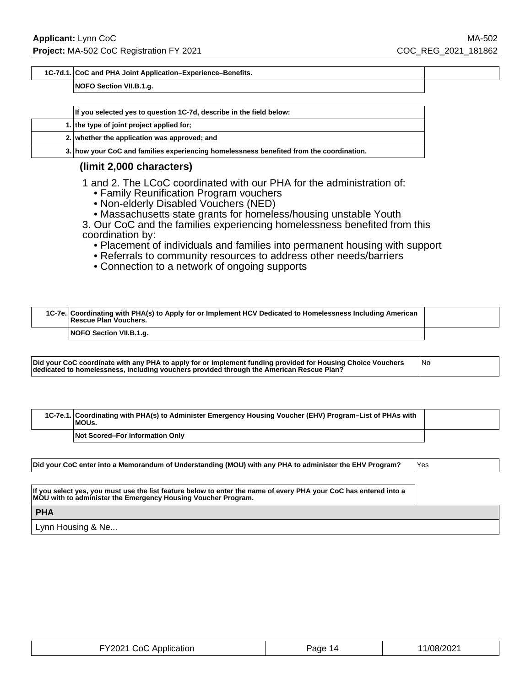#### **1C-7d.1. CoC and PHA Joint Application–Experience–Benefits.**

#### **NOFO Section VII.B.1.g.**

| If you selected yes to question 1C-7d, describe in the field below:                     |
|-----------------------------------------------------------------------------------------|
| 1. the type of joint project applied for;                                               |
| 2. whether the application was approved; and                                            |
| 3. how your CoC and families experiencing homelessness benefited from the coordination. |

### **(limit 2,000 characters)**

1 and 2. The LCoC coordinated with our PHA for the administration of:

- Family Reunification Program vouchers
- Non-elderly Disabled Vouchers (NED)
- Massachusetts state grants for homeless/housing unstable Youth

3. Our CoC and the families experiencing homelessness benefited from this coordination by:

- Placement of individuals and families into permanent housing with support
- Referrals to community resources to address other needs/barriers
- Connection to a network of ongoing supports

| 1C-7e. Coordinating with PHA(s) to Apply for or Implement HCV Dedicated to Homelessness Including American<br>Rescue Plan Vouchers. |  |
|-------------------------------------------------------------------------------------------------------------------------------------|--|
| NOFO Section VII.B.1.g.                                                                                                             |  |

| dedicated to homelessness, including vouchers provided through the American Rescue Plan? | Did your CoC coordinate with any PHA to apply for or implement funding provided for Housing Choice Vouchers<br>1No |
|------------------------------------------------------------------------------------------|--------------------------------------------------------------------------------------------------------------------|
|------------------------------------------------------------------------------------------|--------------------------------------------------------------------------------------------------------------------|

| 1C-7e.1. Coordinating with PHA(s) to Administer Emergency Housing Voucher (EHV) Program–List of PHAs with<br>MOUs. |  |
|--------------------------------------------------------------------------------------------------------------------|--|
| Not Scored-For Information Only                                                                                    |  |

**Did your CoC enter into a Memorandum of Understanding (MOU) with any PHA to administer the EHV Program?** Yes

**If you select yes, you must use the list feature below to enter the name of every PHA your CoC has entered into a MOU with to administer the Emergency Housing Voucher Program.**

**PHA**

Lynn Housing & Ne...

| FY2021 CoC Application | Page 14 | 11/08/2021 |
|------------------------|---------|------------|
|------------------------|---------|------------|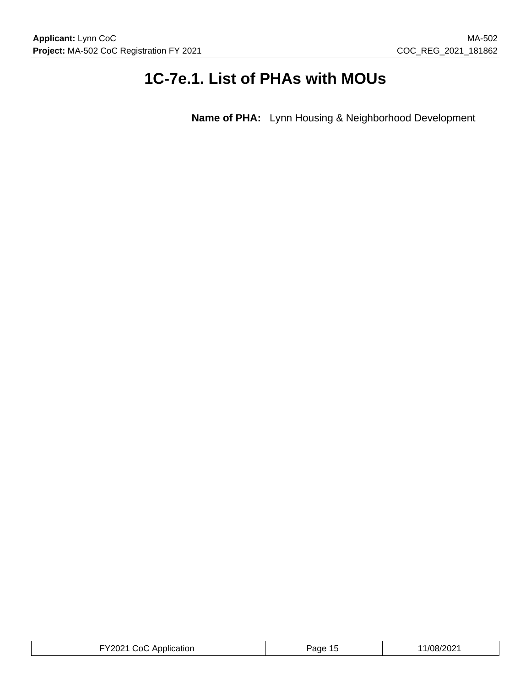# **1C-7e.1. List of PHAs with MOUs**

**Name of PHA:** Lynn Housing & Neighborhood Development

| $^{\circ}$ 2021 $_{\circ}$<br>ימחר <i>ו</i><br>ה?<br>٬/ՈԶ/<br>Application<br>'ane<br>$\mathbf{v}$<br>∵∪∠<br>. |
|---------------------------------------------------------------------------------------------------------------|
|---------------------------------------------------------------------------------------------------------------|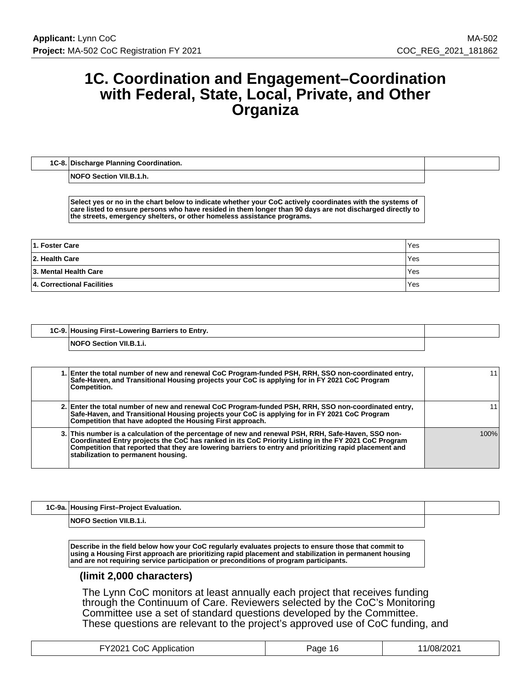# **1C. Coordination and Engagement–Coordination with Federal, State, Local, Private, and Other Organiza**

| 1C-8. Discharge Planning Coordination. |
|----------------------------------------|
|                                        |

**NOFO Section VII.B.1.h.**

**Select yes or no in the chart below to indicate whether your CoC actively coordinates with the systems of care listed to ensure persons who have resided in them longer than 90 days are not discharged directly to the streets, emergency shelters, or other homeless assistance programs.**

| 1. Foster Care             | 'Yes       |
|----------------------------|------------|
| 2. Health Care             | Yes        |
| 3. Mental Health Care      | <b>Yes</b> |
| 4. Correctional Facilities | 'Yes       |

| 1C-9. Housing First-Lowering Barriers to Entry. |  |
|-------------------------------------------------|--|
| <b>NOFO Section VII.B.1.i.</b>                  |  |

| 1. Enter the total number of new and renewal CoC Program-funded PSH, RRH, SSO non-coordinated entry,<br>Safe-Haven, and Transitional Housing projects your CoC is applying for in FY 2021 CoC Program<br>Competition.                                                                                                                                         |      |
|---------------------------------------------------------------------------------------------------------------------------------------------------------------------------------------------------------------------------------------------------------------------------------------------------------------------------------------------------------------|------|
| 2. Enter the total number of new and renewal CoC Program-funded PSH, RRH, SSO non-coordinated entry,<br>Safe-Haven, and Transitional Housing projects your CoC is applying for in FY 2021 CoC Program<br>Competition that have adopted the Housing First approach.                                                                                            |      |
| 3. This number is a calculation of the percentage of new and renewal PSH, RRH, Safe-Haven, SSO non-<br>Coordinated Entry projects the CoC has ranked in its CoC Priority Listing in the FY 2021 CoC Program<br>Competition that reported that they are lowering barriers to entry and prioritizing rapid placement and<br>stabilization to permanent housing. | 100% |

| 1C-9a. Housing First-Project Evaluation. |  |
|------------------------------------------|--|
| <b>NOFO Section VII.B.1.i.</b>           |  |

**Describe in the field below how your CoC regularly evaluates projects to ensure those that commit to using a Housing First approach are prioritizing rapid placement and stabilization in permanent housing and are not requiring service participation or preconditions of program participants.**

### **(limit 2,000 characters)**

The Lynn CoC monitors at least annually each project that receives funding through the Continuum of Care. Reviewers selected by the CoC's Monitoring Committee use a set of standard questions developed by the Committee. These questions are relevant to the project's approved use of CoC funding, and

| -Y2021 CoC Application | -16<br>Page | 1/08/2021 |
|------------------------|-------------|-----------|
|------------------------|-------------|-----------|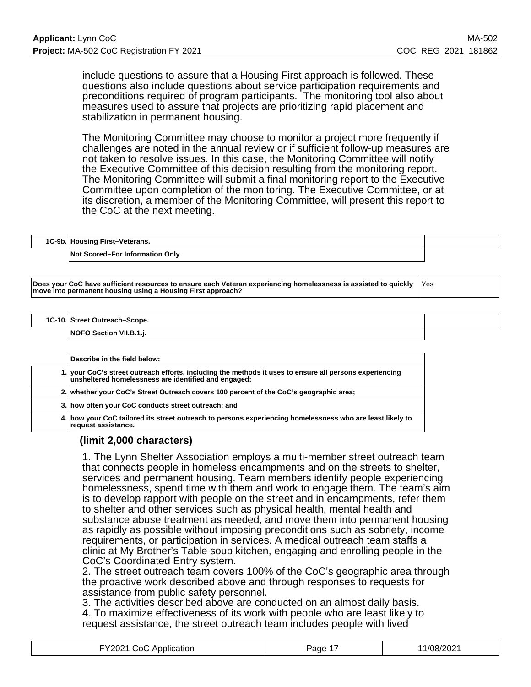include questions to assure that a Housing First approach is followed. These questions also include questions about service participation requirements and preconditions required of program participants. The monitoring tool also about measures used to assure that projects are prioritizing rapid placement and stabilization in permanent housing.

The Monitoring Committee may choose to monitor a project more frequently if challenges are noted in the annual review or if sufficient follow-up measures are not taken to resolve issues. In this case, the Monitoring Committee will notify the Executive Committee of this decision resulting from the monitoring report. The Monitoring Committee will submit a final monitoring report to the Executive Committee upon completion of the monitoring. The Executive Committee, or at its discretion, a member of the Monitoring Committee, will present this report to the CoC at the next meeting.

| 1C-9b. Housing First-Veterans.         |  |
|----------------------------------------|--|
| <b>Not Scored–For Information Only</b> |  |

**Does your CoC have sufficient resources to ensure each Veteran experiencing homelessness is assisted to quickly move into permanent housing using a Housing First approach?** Yes

**1C-10. Street Outreach–Scope.**

**NOFO Section VII.B.1.j.**

| Describe in the field below:                                                                                                                                    |
|-----------------------------------------------------------------------------------------------------------------------------------------------------------------|
| 1. your CoC's street outreach efforts, including the methods it uses to ensure all persons experiencing<br>unsheltered homelessness are identified and engaged; |
| 2. whether your CoC's Street Outreach covers 100 percent of the CoC's geographic area;                                                                          |
| 3. how often your CoC conducts street outreach; and                                                                                                             |
| 4. how your CoC tailored its street outreach to persons experiencing homelessness who are least likely to<br>request assistance.                                |

### **(limit 2,000 characters)**

1. The Lynn Shelter Association employs a multi-member street outreach team that connects people in homeless encampments and on the streets to shelter, services and permanent housing. Team members identify people experiencing homelessness, spend time with them and work to engage them. The team's aim is to develop rapport with people on the street and in encampments, refer them to shelter and other services such as physical health, mental health and substance abuse treatment as needed, and move them into permanent housing as rapidly as possible without imposing preconditions such as sobriety, income requirements, or participation in services. A medical outreach team staffs a clinic at My Brother's Table soup kitchen, engaging and enrolling people in the CoC's Coordinated Entry system.

2. The street outreach team covers 100% of the CoC's geographic area through the proactive work described above and through responses to requests for assistance from public safety personnel.

3. The activities described above are conducted on an almost daily basis. 4. To maximize effectiveness of its work with people who are least likely to request assistance, the street outreach team includes people with lived

| FY2021 CoC Application | Page 17 | 11/08/2021 |
|------------------------|---------|------------|
|------------------------|---------|------------|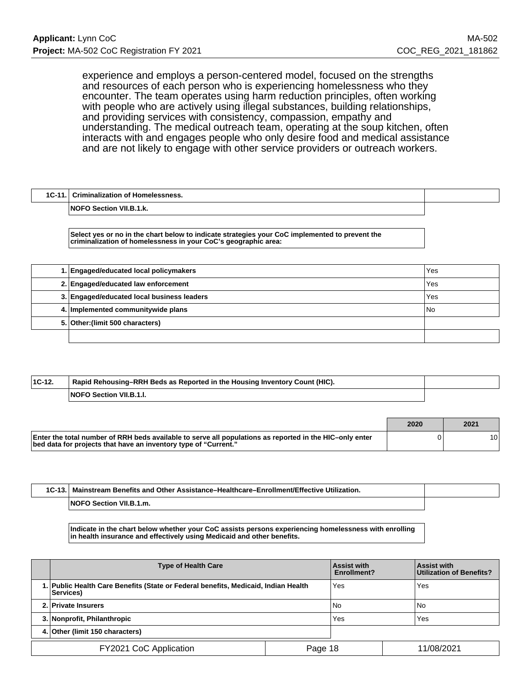experience and employs a person-centered model, focused on the strengths and resources of each person who is experiencing homelessness who they encounter. The team operates using harm reduction principles, often working with people who are actively using illegal substances, building relationships, and providing services with consistency, compassion, empathy and understanding. The medical outreach team, operating at the soup kitchen, often interacts with and engages people who only desire food and medical assistance and are not likely to engage with other service providers or outreach workers.

| 1C-11.<br>10 | ا Criminalization of<br>' Homelessness.     |  |
|--------------|---------------------------------------------|--|
|              | <b>INOF</b><br><b>Section VII.</b><br>.1.K. |  |

**Select yes or no in the chart below to indicate strategies your CoC implemented to prevent the criminalization of homelessness in your CoC's geographic area:**

| 1. Engaged/educated local policymakers     | Yes  |
|--------------------------------------------|------|
| 2. Engaged/educated law enforcement        | Yes  |
| 3. Engaged/educated local business leaders | Yes  |
| 4. Implemented communitywide plans         | l No |
| 5. Other: (limit 500 characters)           |      |
|                                            |      |

| $ 1C-12 $ | Rapid Rehousing–RRH Beds as Reported in the Housing Inventory Count (HIC). |  |
|-----------|----------------------------------------------------------------------------|--|
|           | <b>NOFO Section VII.B.1.I.</b>                                             |  |

|                                                                                                                                                                            | 2020 | 2021 |
|----------------------------------------------------------------------------------------------------------------------------------------------------------------------------|------|------|
| Enter the total number of RRH beds available to serve all populations as reported in the HIC-only enter<br>bed data for projects that have an inventory type of "Current." |      | 10 I |

| 1C-13.1 | ∣ Mainstream Benefits and Other Assistance–Healthcare–Enrollment/Effective Utilization. |  |
|---------|-----------------------------------------------------------------------------------------|--|
|         | NOFO Section VII.B.1.m.                                                                 |  |

**Indicate in the chart below whether your CoC assists persons experiencing homelessness with enrolling in health insurance and effectively using Medicaid and other benefits.**

|                                   | <b>Type of Health Care</b>                                                                             |  | <b>Assist with</b><br>Enrollment? | <b>Assist with</b><br>Utilization of Benefits? |
|-----------------------------------|--------------------------------------------------------------------------------------------------------|--|-----------------------------------|------------------------------------------------|
|                                   | 1. Public Health Care Benefits (State or Federal benefits, Medicaid, Indian Health<br><b>Services)</b> |  | Yes                               | Yes                                            |
|                                   | 2. Private Insurers                                                                                    |  | l No                              | l No                                           |
|                                   | 3. Nonprofit, Philanthropic                                                                            |  | Yes                               | Yes                                            |
|                                   | 4. Other (limit 150 characters)                                                                        |  |                                   |                                                |
| FY2021 CoC Application<br>Page 18 |                                                                                                        |  | 11/08/2021                        |                                                |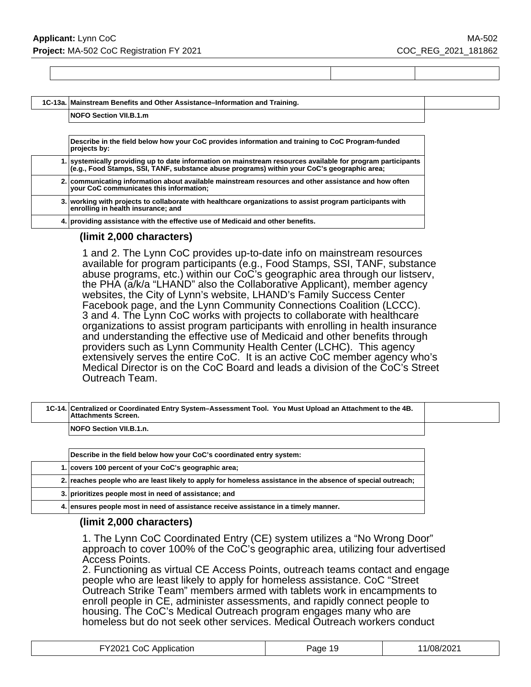**1C-13a. Mainstream Benefits and Other Assistance–Information and Training.**

#### **NOFO Section VII.B.1.m**

**Describe in the field below how your CoC provides information and training to CoC Program-funded projects by:**

| 1. systemically providing up to date information on mainstream resources available for program participants (e.g., Food Stamps, SSI, TANF, substance abuse programs) within your CoC's geographic area; |
|---------------------------------------------------------------------------------------------------------------------------------------------------------------------------------------------------------|
| 2. communicating information about available mainstream resources and other assistance and how often<br>vour CoC communicates this information;                                                         |
| 3.   working with projects to collaborate with healthcare organizations to assist program participants with<br>enrolling in health insurance; and                                                       |
|                                                                                                                                                                                                         |

**4. providing assistance with the effective use of Medicaid and other benefits.**

### **(limit 2,000 characters)**

1 and 2. The Lynn CoC provides up-to-date info on mainstream resources available for program participants (e.g., Food Stamps, SSI, TANF, substance abuse programs, etc.) within our CoC's geographic area through our listserv, the PHA (a/k/a "LHAND" also the Collaborative Applicant), member agency websites, the City of Lynn's website, LHAND's Family Success Center Facebook page, and the Lynn Community Connections Coalition (LCCC). 3 and 4. The Lynn CoC works with projects to collaborate with healthcare organizations to assist program participants with enrolling in health insurance and understanding the effective use of Medicaid and other benefits through providers such as Lynn Community Health Center (LCHC). This agency extensively serves the entire CoC. It is an active CoC member agency who's Medical Director is on the CoC Board and leads a division of the CoC's Street Outreach Team.

| 1C-14. Centralized or Coordinated Entry System-Assessment Tool. You Must Upload an Attachment to the 4B.<br><b>Attachments Screen.</b> |  |
|----------------------------------------------------------------------------------------------------------------------------------------|--|
| <b>NOFO Section VII.B.1.n.</b>                                                                                                         |  |

| Describe in the field below how your CoC's coordinated entry system:                                        |
|-------------------------------------------------------------------------------------------------------------|
| 1. covers 100 percent of your CoC's geographic area;                                                        |
| 2. reaches people who are least likely to apply for homeless assistance in the absence of special outreach; |
| 3. prioritizes people most in need of assistance; and                                                       |
| 4. ensures people most in need of assistance receive assistance in a timely manner.                         |

### **(limit 2,000 characters)**

1. The Lynn CoC Coordinated Entry (CE) system utilizes a "No Wrong Door" approach to cover 100% of the CoC's geographic area, utilizing four advertised Access Points.

2. Functioning as virtual CE Access Points, outreach teams contact and engage people who are least likely to apply for homeless assistance. CoC "Street Outreach Strike Team" members armed with tablets work in encampments to enroll people in CE, administer assessments, and rapidly connect people to housing. The CoC's Medical Outreach program engages many who are homeless but do not seek other services. Medical Outreach workers conduct

| FY2021 CoC Application | Page 19 | 11/08/2021 |
|------------------------|---------|------------|
|------------------------|---------|------------|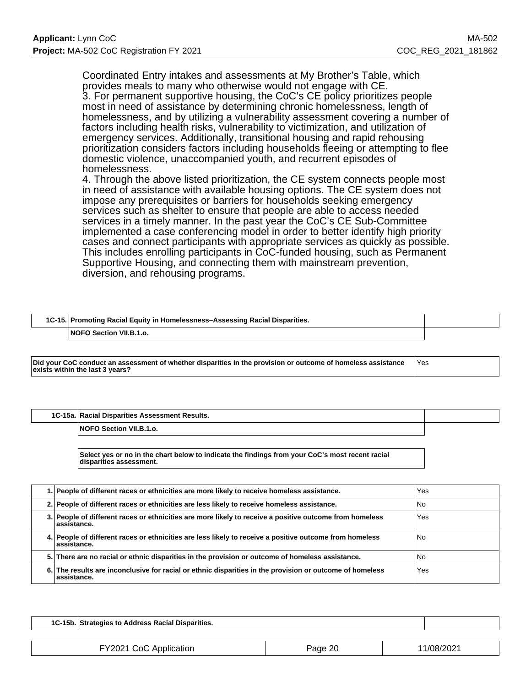Coordinated Entry intakes and assessments at My Brother's Table, which provides meals to many who otherwise would not engage with CE. 3. For permanent supportive housing, the CoC's CE policy prioritizes people most in need of assistance by determining chronic homelessness, length of homelessness, and by utilizing a vulnerability assessment covering a number of factors including health risks, vulnerability to victimization, and utilization of emergency services. Additionally, transitional housing and rapid rehousing prioritization considers factors including households fleeing or attempting to flee domestic violence, unaccompanied youth, and recurrent episodes of homelessness.

4. Through the above listed prioritization, the CE system connects people most in need of assistance with available housing options. The CE system does not impose any prerequisites or barriers for households seeking emergency services such as shelter to ensure that people are able to access needed services in a timely manner. In the past year the CoC's CE Sub-Committee implemented a case conferencing model in order to better identify high priority cases and connect participants with appropriate services as quickly as possible. This includes enrolling participants in CoC-funded housing, such as Permanent Supportive Housing, and connecting them with mainstream prevention, diversion, and rehousing programs.

| 1C-15. Promoting Racial Equity in Homelessness-Assessing Racial Disparities. |  |
|------------------------------------------------------------------------------|--|
| <b>NOFO Section VII.B.1.o.</b>                                               |  |

**Did your CoC conduct an assessment of whether disparities in the provision or outcome of homeless assistance exists within the last 3 years?** Yes

**1C-15a. Racial Disparities Assessment Results.**

**NOFO Section VII.B.1.o.**

**Select yes or no in the chart below to indicate the findings from your CoC's most recent racial disparities assessment.**

| 1. People of different races or ethnicities are more likely to receive homeless assistance.                             | Yes  |
|-------------------------------------------------------------------------------------------------------------------------|------|
| 2. People of different races or ethnicities are less likely to receive homeless assistance.                             | l No |
| 3. People of different races or ethnicities are more likely to receive a positive outcome from homeless<br>lassistance. | Yes  |
| 4. People of different races or ethnicities are less likely to receive a positive outcome from homeless<br>lassistance. | l No |
| 5. There are no racial or ethnic disparities in the provision or outcome of homeless assistance.                        | l No |
| 6. The results are inconclusive for racial or ethnic disparities in the provision or outcome of homeless<br>assistance. | Yes  |

| ፦15b<br>1C-15L | ∖ Address Racial⊹<br>Disparities.<br>'ategies to<br>. |  |
|----------------|-------------------------------------------------------|--|
|                |                                                       |  |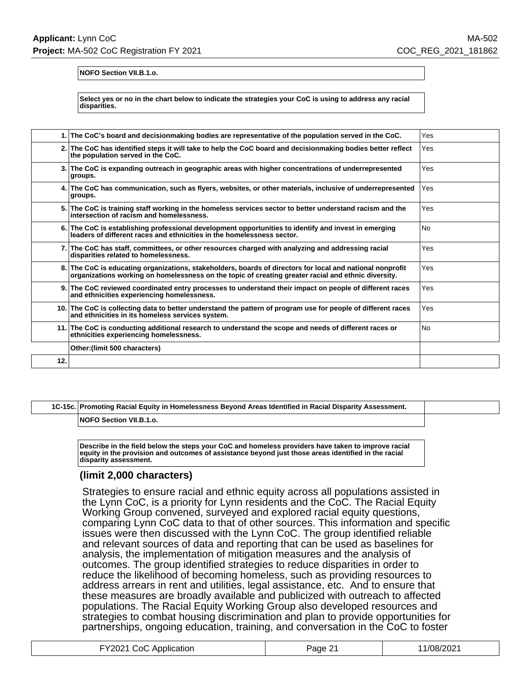**NOFO Section VII.B.1.o.**

**Select yes or no in the chart below to indicate the strategies your CoC is using to address any racial disparities.**

| 1.1  | The CoC's board and decisionmaking bodies are representative of the population served in the CoC.                                                                                                             | Yes       |
|------|---------------------------------------------------------------------------------------------------------------------------------------------------------------------------------------------------------------|-----------|
|      | 2. The CoC has identified steps it will take to help the CoC board and decisionmaking bodies better reflect<br>the population served in the CoC.                                                              | Yes       |
|      | 3. The CoC is expanding outreach in geographic areas with higher concentrations of underrepresented<br>groups.                                                                                                | Yes       |
| 4.1  | The CoC has communication, such as flyers, websites, or other materials, inclusive of underrepresented<br>groups.                                                                                             | Yes       |
| 5.1  | The CoC is training staff working in the homeless services sector to better understand racism and the<br>intersection of racism and homelessness.                                                             | Yes       |
|      | 6. The CoC is establishing professional development opportunities to identify and invest in emerging<br>leaders of different races and ethnicities in the homelessness sector.                                | <b>No</b> |
|      | 7. The CoC has staff, committees, or other resources charged with analyzing and addressing racial<br>disparities related to homelessness.                                                                     | Yes       |
| 8.I  | The CoC is educating organizations, stakeholders, boards of directors for local and national nonprofit<br>organizations working on homelessness on the topic of creating greater racial and ethnic diversity. | Yes       |
| 9. I | The CoC reviewed coordinated entry processes to understand their impact on people of different races<br>and ethnicities experiencing homelessness.                                                            | Yes       |
|      | 10. The CoC is collecting data to better understand the pattern of program use for people of different races<br>and ethnicities in its homeless services system.                                              | Yes       |
| 11.I | The CoC is conducting additional research to understand the scope and needs of different races or<br>ethnicities experiencing homelessness.                                                                   | <b>No</b> |
|      | Other: (limit 500 characters)                                                                                                                                                                                 |           |
| 12.  |                                                                                                                                                                                                               |           |

### **1C-15c. Promoting Racial Equity in Homelessness Beyond Areas Identified in Racial Disparity Assessment.**

**NOFO Section VII.B.1.o.**

**Describe in the field below the steps your CoC and homeless providers have taken to improve racial equity in the provision and outcomes of assistance beyond just those areas identified in the racial disparity assessment.**

### **(limit 2,000 characters)**

Strategies to ensure racial and ethnic equity across all populations assisted in the Lynn CoC, is a priority for Lynn residents and the CoC. The Racial Equity Working Group convened, surveyed and explored racial equity questions, comparing Lynn CoC data to that of other sources. This information and specific issues were then discussed with the Lynn CoC. The group identified reliable and relevant sources of data and reporting that can be used as baselines for analysis, the implementation of mitigation measures and the analysis of outcomes. The group identified strategies to reduce disparities in order to reduce the likelihood of becoming homeless, such as providing resources to address arrears in rent and utilities, legal assistance, etc. And to ensure that these measures are broadly available and publicized with outreach to affected populations. The Racial Equity Working Group also developed resources and strategies to combat housing discrimination and plan to provide opportunities for partnerships, ongoing education, training, and conversation in the CoC to foster

| FY2021 CoC Application | Page 21 | 11/08/2021 |
|------------------------|---------|------------|
|------------------------|---------|------------|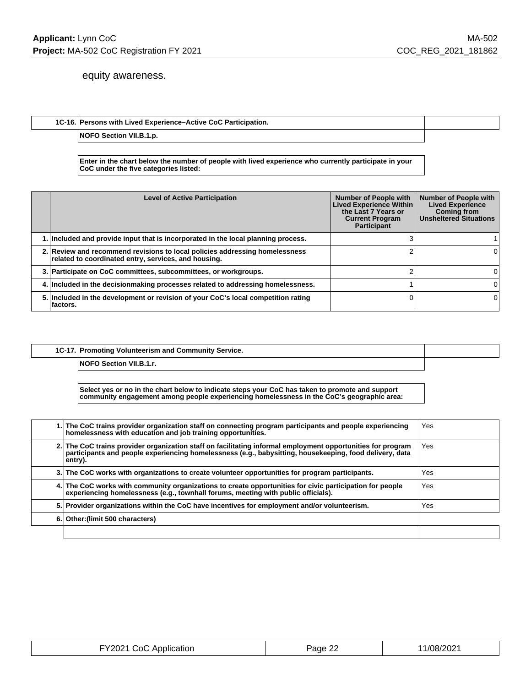### equity awareness.

### **1C-16. Persons with Lived Experience–Active CoC Participation.**

**NOFO Section VII.B.1.p.**

**Enter in the chart below the number of people with lived experience who currently participate in your CoC under the five categories listed:**

| <b>Level of Active Participation</b>                                                                                                | <b>Number of People with</b><br>Lived Experience Within<br>the Last 7 Years or<br><b>Current Program</b><br>Participant | <b>Number of People with</b><br><b>Lived Experience</b><br><b>Coming from</b><br><b>Unsheltered Situations</b> |
|-------------------------------------------------------------------------------------------------------------------------------------|-------------------------------------------------------------------------------------------------------------------------|----------------------------------------------------------------------------------------------------------------|
| 1. Included and provide input that is incorporated in the local planning process.                                                   |                                                                                                                         |                                                                                                                |
| 2. Review and recommend revisions to local policies addressing homelessness<br>related to coordinated entry, services, and housing. |                                                                                                                         |                                                                                                                |
| 3. Participate on CoC committees, subcommittees, or workgroups.                                                                     |                                                                                                                         |                                                                                                                |
| 4. Included in the decisionmaking processes related to addressing homelessness.                                                     |                                                                                                                         |                                                                                                                |
| 5. Included in the development or revision of your CoC's local competition rating<br>⊺factors.                                      |                                                                                                                         | 0                                                                                                              |

**1C-17. Promoting Volunteerism and Community Service.**

**NOFO Section VII.B.1.r.**

**Select yes or no in the chart below to indicate steps your CoC has taken to promote and support community engagement among people experiencing homelessness in the CoC's geographic area:**

| 1. The CoC trains provider organization staff on connecting program participants and people experiencing<br>homelessness with education and job training opportunities.                                                           | Yes  |
|-----------------------------------------------------------------------------------------------------------------------------------------------------------------------------------------------------------------------------------|------|
| 2. The CoC trains provider organization staff on facilitating informal employment opportunities for program<br>narticipants and people experiencing homelessness (e.g., babysitting, housekeeping, food delivery, data<br>entry). | Yes. |
| 3. The CoC works with organizations to create volunteer opportunities for program participants.                                                                                                                                   | Yes  |
| 4. The CoC works with community organizations to create opportunities for civic participation for people<br>experiencing homelessness (e.g., townhall forums, meeting with public officials).                                     | Yes  |
| 5. Provider organizations within the CoC have incentives for employment and/or volunteerism.                                                                                                                                      | Yes  |
| 6. Other: (limit 500 characters)                                                                                                                                                                                                  |      |
|                                                                                                                                                                                                                                   |      |

| FY2021 CoC Application | $\sim$<br><sup>⊃</sup> aqe 2'∠ | 11/08/2021 |
|------------------------|--------------------------------|------------|
|------------------------|--------------------------------|------------|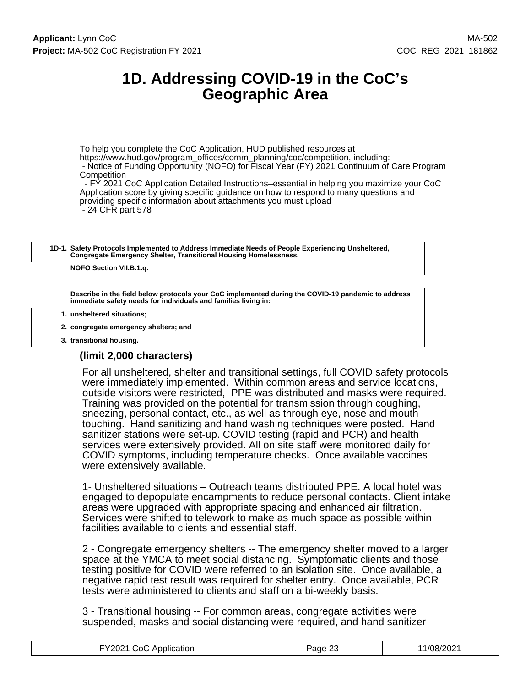# **1D. Addressing COVID-19 in the CoC's Geographic Area**

To help you complete the CoC Application, HUD published resources at https://www.hud.gov/program\_offices/comm\_planning/coc/competition, including: - Notice of Funding Opportunity (NOFO) for Fiscal Year (FY) 2021 Continuum of Care Program **Competition** 

 - FY 2021 CoC Application Detailed Instructions–essential in helping you maximize your CoC Application score by giving specific guidance on how to respond to many questions and providing specific information about attachments you must upload - 24 CFR part 578

**1D-1. Safety Protocols Implemented to Address Immediate Needs of People Experiencing Unsheltered, Congregate Emergency Shelter, Transitional Housing Homelessness.**

**NOFO Section VII.B.1.q.**

**Describe in the field below protocols your CoC implemented during the COVID-19 pandemic to address immediate safety needs for individuals and families living in:**

|  | 1. unsheltered situations;            |
|--|---------------------------------------|
|  | 2. congregate emergency shelters; and |
|  | 3. transitional housing.              |

# **(limit 2,000 characters)**

For all unsheltered, shelter and transitional settings, full COVID safety protocols were immediately implemented. Within common areas and service locations, outside visitors were restricted, PPE was distributed and masks were required. Training was provided on the potential for transmission through coughing, sneezing, personal contact, etc., as well as through eye, nose and mouth touching. Hand sanitizing and hand washing techniques were posted. Hand sanitizer stations were set-up. COVID testing (rapid and PCR) and health services were extensively provided. All on site staff were monitored daily for COVID symptoms, including temperature checks. Once available vaccines were extensively available.

1- Unsheltered situations – Outreach teams distributed PPE. A local hotel was engaged to depopulate encampments to reduce personal contacts. Client intake areas were upgraded with appropriate spacing and enhanced air filtration. Services were shifted to telework to make as much space as possible within facilities available to clients and essential staff.

2 - Congregate emergency shelters -- The emergency shelter moved to a larger space at the YMCA to meet social distancing. Symptomatic clients and those testing positive for COVID were referred to an isolation site. Once available, a negative rapid test result was required for shelter entry. Once available, PCR tests were administered to clients and staff on a bi-weekly basis.

3 - Transitional housing -- For common areas, congregate activities were suspended, masks and social distancing were required, and hand sanitizer

| FY2021 CoC Application | Page 23 | 1/08/2021 |
|------------------------|---------|-----------|
|------------------------|---------|-----------|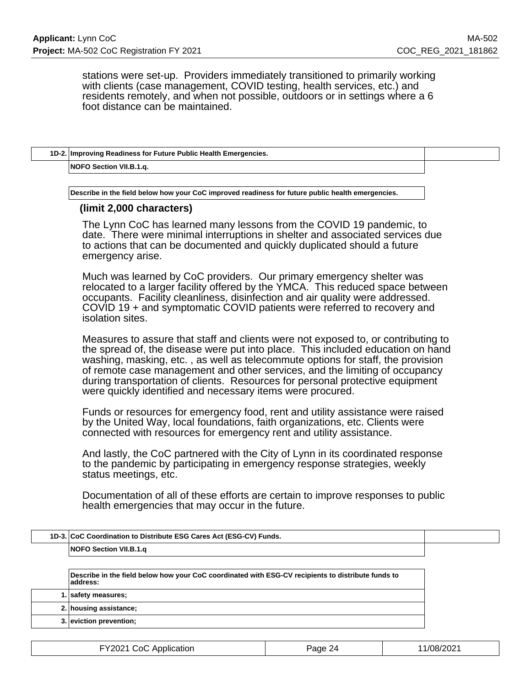stations were set-up. Providers immediately transitioned to primarily working with clients (case management, COVID testing, health services, etc.) and residents remotely, and when not possible, outdoors or in settings where a 6 foot distance can be maintained.

| 1D-2. Improving Readiness for Future Public Health Emergencies. |  |
|-----------------------------------------------------------------|--|
| NOFO Section VII.B.1.g.                                         |  |

**Describe in the field below how your CoC improved readiness for future public health emergencies.**

### **(limit 2,000 characters)**

The Lynn CoC has learned many lessons from the COVID 19 pandemic, to date. There were minimal interruptions in shelter and associated services due to actions that can be documented and quickly duplicated should a future emergency arise.

Much was learned by CoC providers. Our primary emergency shelter was relocated to a larger facility offered by the YMCA. This reduced space between occupants. Facility cleanliness, disinfection and air quality were addressed. COVID 19 + and symptomatic COVID patients were referred to recovery and isolation sites.

Measures to assure that staff and clients were not exposed to, or contributing to the spread of, the disease were put into place. This included education on hand washing, masking, etc. , as well as telecommute options for staff, the provision of remote case management and other services, and the limiting of occupancy during transportation of clients. Resources for personal protective equipment were quickly identified and necessary items were procured.

Funds or resources for emergency food, rent and utility assistance were raised by the United Way, local foundations, faith organizations, etc. Clients were connected with resources for emergency rent and utility assistance.

And lastly, the CoC partnered with the City of Lynn in its coordinated response to the pandemic by participating in emergency response strategies, weekly status meetings, etc.

Documentation of all of these efforts are certain to improve responses to public health emergencies that may occur in the future.

| 1D-3. CoC Coordination to Distribute ESG Cares Act (ESG-CV) Funds.                                             |
|----------------------------------------------------------------------------------------------------------------|
| NOFO Section VII.B.1.g                                                                                         |
|                                                                                                                |
| Describe in the field below how your CoC coordinated with ESG-CV recipients to distribute funds to<br>address: |
| 1. safety measures;                                                                                            |
| 2. housing assistance;                                                                                         |
| 3. eviction prevention;                                                                                        |

| FY2021 CoC Application | Page 24 | 11/08/2021 |
|------------------------|---------|------------|
|------------------------|---------|------------|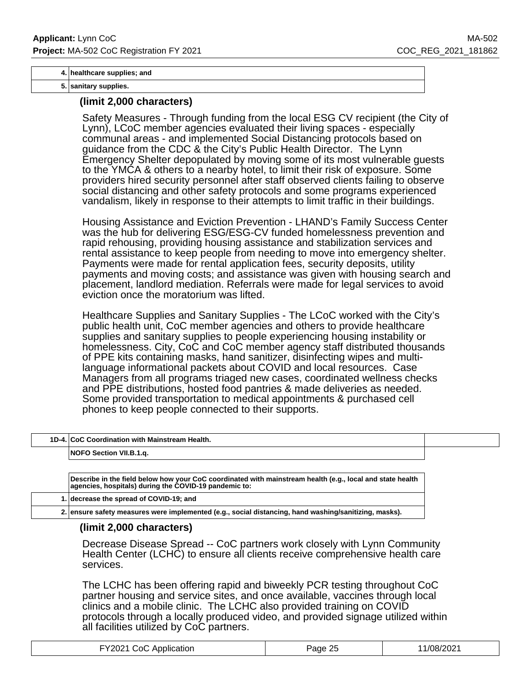#### **4. healthcare supplies; and**

**5. sanitary supplies.**

### **(limit 2,000 characters)**

Safety Measures - Through funding from the local ESG CV recipient (the City of Lynn), LCoC member agencies evaluated their living spaces - especially communal areas - and implemented Social Distancing protocols based on guidance from the CDC & the City's Public Health Director. The Lynn Emergency Shelter depopulated by moving some of its most vulnerable guests to the YMCA & others to a nearby hotel, to limit their risk of exposure. Some providers hired security personnel after staff observed clients failing to observe social distancing and other safety protocols and some programs experienced vandalism, likely in response to their attempts to limit traffic in their buildings.

Housing Assistance and Eviction Prevention - LHAND's Family Success Center was the hub for delivering ESG/ESG-CV funded homelessness prevention and rapid rehousing, providing housing assistance and stabilization services and rental assistance to keep people from needing to move into emergency shelter. Payments were made for rental application fees, security deposits, utility payments and moving costs; and assistance was given with housing search and placement, landlord mediation. Referrals were made for legal services to avoid eviction once the moratorium was lifted.

Healthcare Supplies and Sanitary Supplies - The LCoC worked with the City's public health unit, CoC member agencies and others to provide healthcare supplies and sanitary supplies to people experiencing housing instability or homelessness. City, CoC and CoC member agency staff distributed thousands of PPE kits containing masks, hand sanitizer, disinfecting wipes and multilanguage informational packets about COVID and local resources. Case Managers from all programs triaged new cases, coordinated wellness checks and PPE distributions, hosted food pantries & made deliveries as needed. Some provided transportation to medical appointments & purchased cell phones to keep people connected to their supports.

| 1D-4. CoC Coordination with Mainstream Health. |  |
|------------------------------------------------|--|
| NOFO Section VII.B.1.q.                        |  |
|                                                |  |

**Describe in the field below how your CoC coordinated with mainstream health (e.g., local and state health agencies, hospitals) during the COVID-19 pandemic to:**

**1. decrease the spread of COVID-19; and**

**2. ensure safety measures were implemented (e.g., social distancing, hand washing/sanitizing, masks).**

### **(limit 2,000 characters)**

Decrease Disease Spread -- CoC partners work closely with Lynn Community Health Center (LCHC) to ensure all clients receive comprehensive health care services.

The LCHC has been offering rapid and biweekly PCR testing throughout CoC partner housing and service sites, and once available, vaccines through local clinics and a mobile clinic. The LCHC also provided training on COVID protocols through a locally produced video, and provided signage utilized within all facilities utilized by CoC partners.

| FY2021 CoC Application | Paqe 25 | 1/08/2021 |
|------------------------|---------|-----------|
|------------------------|---------|-----------|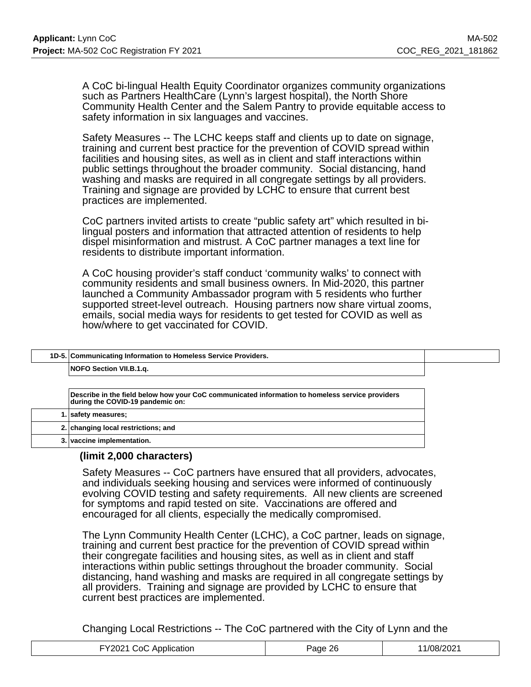A CoC bi-lingual Health Equity Coordinator organizes community organizations such as Partners HealthCare (Lynn's largest hospital), the North Shore Community Health Center and the Salem Pantry to provide equitable access to safety information in six languages and vaccines.

Safety Measures -- The LCHC keeps staff and clients up to date on signage, training and current best practice for the prevention of COVID spread within facilities and housing sites, as well as in client and staff interactions within public settings throughout the broader community. Social distancing, hand washing and masks are required in all congregate settings by all providers. Training and signage are provided by LCHC to ensure that current best practices are implemented.

CoC partners invited artists to create "public safety art" which resulted in bilingual posters and information that attracted attention of residents to help dispel misinformation and mistrust. A CoC partner manages a text line for residents to distribute important information.

A CoC housing provider's staff conduct 'community walks' to connect with community residents and small business owners. In Mid-2020, this partner launched a Community Ambassador program with 5 residents who further supported street-level outreach. Housing partners now share virtual zooms, emails, social media ways for residents to get tested for COVID as well as how/where to get vaccinated for COVID.

| NOFO Section VII.B.1.g.<br>Describe in the field below how your CoC communicated information to homeless service providers | 1D-5. Communicating Information to Homeless Service Providers. |  |
|----------------------------------------------------------------------------------------------------------------------------|----------------------------------------------------------------|--|
|                                                                                                                            |                                                                |  |
|                                                                                                                            |                                                                |  |
|                                                                                                                            | during the COVID-19 pandemic on:                               |  |

| 1. safety measures;                 |
|-------------------------------------|
| 2. changing local restrictions; and |
| 3. vaccine implementation.          |

# **(limit 2,000 characters)**

Safety Measures -- CoC partners have ensured that all providers, advocates, and individuals seeking housing and services were informed of continuously evolving COVID testing and safety requirements. All new clients are screened for symptoms and rapid tested on site. Vaccinations are offered and encouraged for all clients, especially the medically compromised.

The Lynn Community Health Center (LCHC), a CoC partner, leads on signage, training and current best practice for the prevention of COVID spread within their congregate facilities and housing sites, as well as in client and staff interactions within public settings throughout the broader community. Social distancing, hand washing and masks are required in all congregate settings by all providers. Training and signage are provided by LCHC to ensure that current best practices are implemented.

Changing Local Restrictions -- The CoC partnered with the City of Lynn and the

| FY2021 CoC App<br>Application | วค<br>ane.<br>້ | /08/2021 |
|-------------------------------|-----------------|----------|
|-------------------------------|-----------------|----------|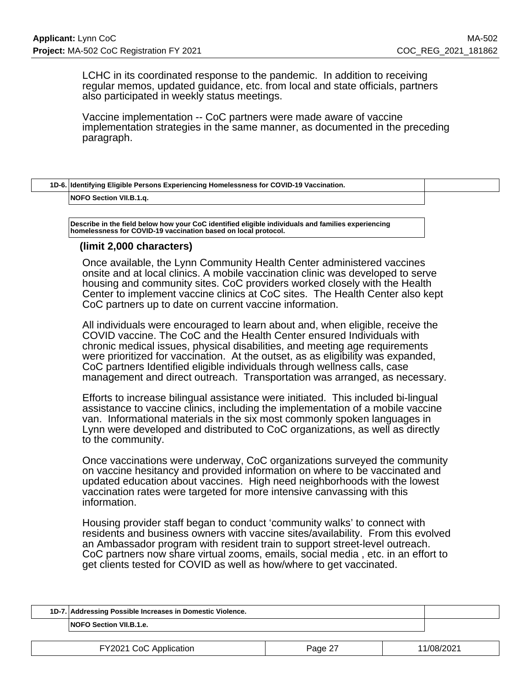LCHC in its coordinated response to the pandemic. In addition to receiving regular memos, updated guidance, etc. from local and state officials, partners also participated in weekly status meetings.

Vaccine implementation -- CoC partners were made aware of vaccine implementation strategies in the same manner, as documented in the preceding paragraph.

| 1D-6. Identifying Eligible Persons Experiencing Homelessness for COVID-19 Vaccination. |  |
|----------------------------------------------------------------------------------------|--|
| NOFO Section VII.B.1.g.                                                                |  |
|                                                                                        |  |

**Describe in the field below how your CoC identified eligible individuals and families experiencing homelessness for COVID-19 vaccination based on local protocol.**

### **(limit 2,000 characters)**

Once available, the Lynn Community Health Center administered vaccines onsite and at local clinics. A mobile vaccination clinic was developed to serve housing and community sites. CoC providers worked closely with the Health Center to implement vaccine clinics at CoC sites. The Health Center also kept CoC partners up to date on current vaccine information.

All individuals were encouraged to learn about and, when eligible, receive the COVID vaccine. The CoC and the Health Center ensured Individuals with chronic medical issues, physical disabilities, and meeting age requirements were prioritized for vaccination. At the outset, as as eligibility was expanded, CoC partners Identified eligible individuals through wellness calls, case management and direct outreach. Transportation was arranged, as necessary.

Efforts to increase bilingual assistance were initiated. This included bi-lingual assistance to vaccine clinics, including the implementation of a mobile vaccine van. Informational materials in the six most commonly spoken languages in Lynn were developed and distributed to CoC organizations, as well as directly to the community.

Once vaccinations were underway, CoC organizations surveyed the community on vaccine hesitancy and provided information on where to be vaccinated and updated education about vaccines. High need neighborhoods with the lowest vaccination rates were targeted for more intensive canvassing with this information.

Housing provider staff began to conduct 'community walks' to connect with residents and business owners with vaccine sites/availability. From this evolved an Ambassador program with resident train to support street-level outreach. CoC partners now share virtual zooms, emails, social media , etc. in an effort to get clients tested for COVID as well as how/where to get vaccinated.

| 1D-7. Addressing Possible Increases in Domestic Violence. |  |
|-----------------------------------------------------------|--|
| NOFO Section VII.B.1.e.                                   |  |

|  | FY2021 CoC Application | Page 27 | 11/08/2021 |
|--|------------------------|---------|------------|
|--|------------------------|---------|------------|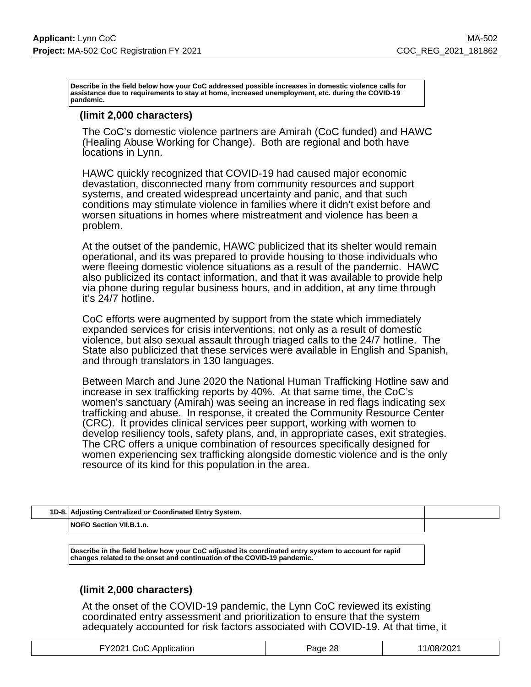**Describe in the field below how your CoC addressed possible increases in domestic violence calls for assistance due to requirements to stay at home, increased unemployment, etc. during the COVID-19 pandemic.**

### **(limit 2,000 characters)**

The CoC's domestic violence partners are Amirah (CoC funded) and HAWC (Healing Abuse Working for Change). Both are regional and both have locations in Lynn.

HAWC quickly recognized that COVID-19 had caused major economic devastation, disconnected many from community resources and support systems, and created widespread uncertainty and panic, and that such conditions may stimulate violence in families where it didn't exist before and worsen situations in homes where mistreatment and violence has been a problem.

At the outset of the pandemic, HAWC publicized that its shelter would remain operational, and its was prepared to provide housing to those individuals who were fleeing domestic violence situations as a result of the pandemic. HAWC also publicized its contact information, and that it was available to provide help via phone during regular business hours, and in addition, at any time through it's 24/7 hotline.

CoC efforts were augmented by support from the state which immediately expanded services for crisis interventions, not only as a result of domestic violence, but also sexual assault through triaged calls to the 24/7 hotline. The State also publicized that these services were available in English and Spanish, and through translators in 130 languages.

Between March and June 2020 the National Human Trafficking Hotline saw and increase in sex trafficking reports by 40%. At that same time, the CoC's women's sanctuary (Amirah) was seeing an increase in red flags indicating sex trafficking and abuse. In response, it created the Community Resource Center (CRC). It provides clinical services peer support, working with women to develop resiliency tools, safety plans, and, in appropriate cases, exit strategies. The CRC offers a unique combination of resources specifically designed for women experiencing sex trafficking alongside domestic violence and is the only resource of its kind for this population in the area.

| 1D-8. Adjusting Centralized or Coordinated Entry System. |  |
|----------------------------------------------------------|--|
| NOFO Section VII.B.1.n.                                  |  |

**Describe in the field below how your CoC adjusted its coordinated entry system to account for rapid changes related to the onset and continuation of the COVID-19 pandemic.**

### **(limit 2,000 characters)**

At the onset of the COVID-19 pandemic, the Lynn CoC reviewed its existing coordinated entry assessment and prioritization to ensure that the system adequately accounted for risk factors associated with COVID-19. At that time, it

| FY2021 CoC Application | -28<br>Page | 1/08/202' |
|------------------------|-------------|-----------|
|------------------------|-------------|-----------|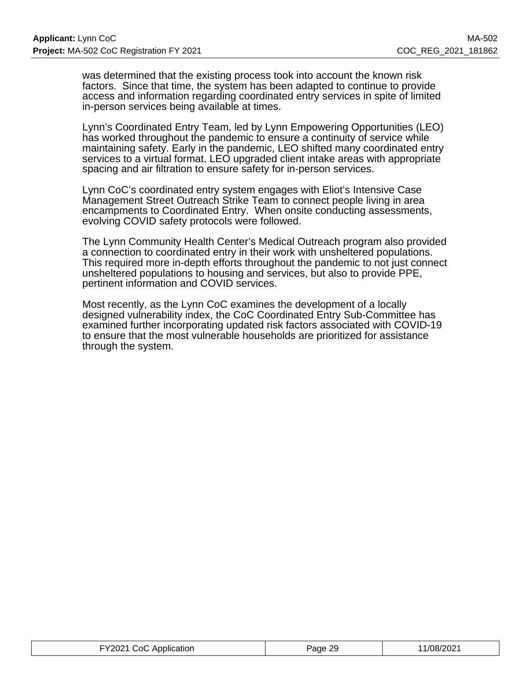was determined that the existing process took into account the known risk factors. Since that time, the system has been adapted to continue to provide access and information regarding coordinated entry services in spite of limited in-person services being available at times.

Lynn's Coordinated Entry Team, led by Lynn Empowering Opportunities (LEO) has worked throughout the pandemic to ensure a continuity of service while maintaining safety. Early in the pandemic, LEO shifted many coordinated entry services to a virtual format. LEO upgraded client intake areas with appropriate spacing and air filtration to ensure safety for in-person services.

Lynn CoC's coordinated entry system engages with Eliot's Intensive Case Management Street Outreach Strike Team to connect people living in area encampments to Coordinated Entry. When onsite conducting assessments, evolving COVID safety protocols were followed.

The Lynn Community Health Center's Medical Outreach program also provided a connection to coordinated entry in their work with unsheltered populations. This required more in-depth efforts throughout the pandemic to not just connect unsheltered populations to housing and services, but also to provide PPE, pertinent information and COVID services.

Most recently, as the Lynn CoC examines the development of a locally designed vulnerability index, the CoC Coordinated Entry Sub-Committee has examined further incorporating updated risk factors associated with COVID-19 to ensure that the most vulnerable households are prioritized for assistance through the system.

| FY2021 CoC Application | Page 29 | /08/2021 |
|------------------------|---------|----------|
|------------------------|---------|----------|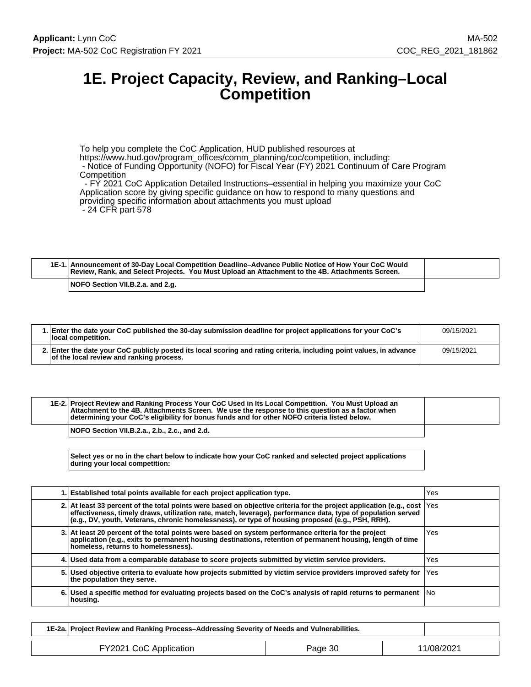# **1E. Project Capacity, Review, and Ranking–Local Competition**

To help you complete the CoC Application, HUD published resources at https://www.hud.gov/program\_offices/comm\_planning/coc/competition, including:

- Notice of Funding Opportunity (NOFO) for Fiscal Year (FY) 2021 Continuum of Care Program **Competition** 

 - FY 2021 CoC Application Detailed Instructions–essential in helping you maximize your CoC Application score by giving specific guidance on how to respond to many questions and providing specific information about attachments you must upload - 24 CFR part 578

| 1E-1. Announcement of 30-Day Local Competition Deadline–Advance Public Notice of How Your CoC Would<br>Review, Rank, and Select Projects. You Must Upload an Attachment to the 4B. Attachments Screen. |  |
|--------------------------------------------------------------------------------------------------------------------------------------------------------------------------------------------------------|--|
| NOFO Section VII.B.2.a. and 2.g.                                                                                                                                                                       |  |

| 1. Enter the date your CoC published the 30-day submission deadline for project applications for your CoC's<br>local competition.                                | 09/15/2021 |
|------------------------------------------------------------------------------------------------------------------------------------------------------------------|------------|
| 2. Enter the date your CoC publicly posted its local scoring and rating criteria, including point values, in advance<br>of the local review and ranking process. | 09/15/2021 |

| 1E-2. Project Review and Ranking Process Your CoC Used in Its Local Competition. You Must Upload an<br>Attachment to the 4B. Attachments Screen. We use the response to this question as a factor when<br>determining your CoC's eligibility for bonus funds and for other NOFO criteria listed below. |  |
|--------------------------------------------------------------------------------------------------------------------------------------------------------------------------------------------------------------------------------------------------------------------------------------------------------|--|
| NOFO Section VII.B.2.a., 2.b., 2.c., and 2.d.                                                                                                                                                                                                                                                          |  |

**Select yes or no in the chart below to indicate how your CoC ranked and selected project applications during your local competition:**

| 1. Established total points available for each project application type.                                                                                                                                                                                                                                                                     | Yes   |
|----------------------------------------------------------------------------------------------------------------------------------------------------------------------------------------------------------------------------------------------------------------------------------------------------------------------------------------------|-------|
| 2. At least 33 percent of the total points were based on objective criteria for the project application (e.g., cost  Yes<br>effectiveness, timely draws, utilization rate, match, leverage), performance data, type of population served<br>(e.g., DV, youth, Veterans, chronic homelessness), or type of housing proposed (e.g., PSH, RRH). |       |
| 3. At least 20 percent of the total points were based on system performance criteria for the project<br>application (e.g., exits to permanent housing destinations, retention of permanent housing, length of time<br>homeless, returns to homelessness).                                                                                    | Yes   |
| 4. Used data from a comparable database to score projects submitted by victim service providers.                                                                                                                                                                                                                                             | Yes   |
| 5. Used objective criteria to evaluate how projects submitted by victim service providers improved safety for<br>the population they serve.                                                                                                                                                                                                  | l Yes |
| 6. Used a specific method for evaluating projects based on the CoC's analysis of rapid returns to permanent No<br>housing.                                                                                                                                                                                                                   |       |

| 1E-2a. Project Review and Ranking Process–Addressing Severity of Needs and Vulnerabilities. |         |            |
|---------------------------------------------------------------------------------------------|---------|------------|
| FY2021 CoC Application                                                                      | Page 30 | 11/08/2021 |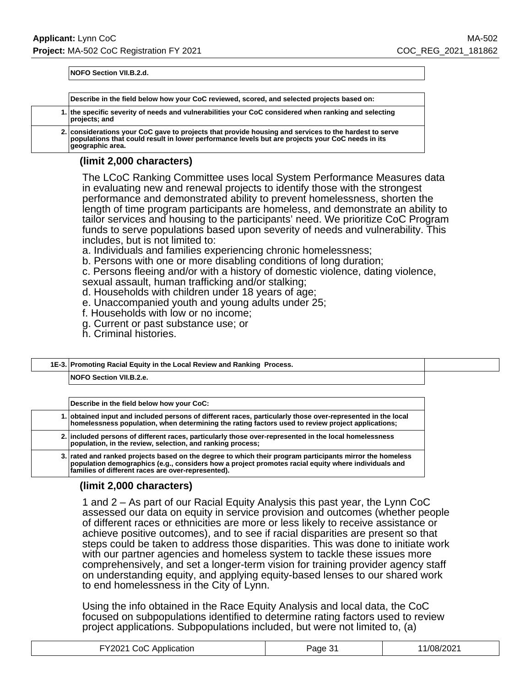**NOFO Section VII.B.2.d.**

| Describe in the field below how your CoC reviewed, scored, and selected projects based on:                                                                                                                                    |
|-------------------------------------------------------------------------------------------------------------------------------------------------------------------------------------------------------------------------------|
| 1. the specific severity of needs and vulnerabilities your CoC considered when ranking and selecting<br>projects; and                                                                                                         |
| 2. considerations your CoC gave to projects that provide housing and services to the hardest to serve<br>populations that could result in lower performance levels but are projects your CoC needs in its<br>qeographic area. |

# **(limit 2,000 characters)**

The LCoC Ranking Committee uses local System Performance Measures data in evaluating new and renewal projects to identify those with the strongest performance and demonstrated ability to prevent homelessness, shorten the length of time program participants are homeless, and demonstrate an ability to tailor services and housing to the participants' need. We prioritize CoC Program funds to serve populations based upon severity of needs and vulnerability. This includes, but is not limited to:

a. Individuals and families experiencing chronic homelessness;

b. Persons with one or more disabling conditions of long duration;

c. Persons fleeing and/or with a history of domestic violence, dating violence,

- sexual assault, human trafficking and/or stalking;
- d. Households with children under 18 years of age;
- e. Unaccompanied youth and young adults under 25;
- f. Households with low or no income;
- g. Current or past substance use; or
- h. Criminal histories.

# **1E-3. Promoting Racial Equity in the Local Review and Ranking Process.**

**NOFO Section VII.B.2.e.**

| Describe in the field below how your CoC:                                                                                                                                                                                                                               |
|-------------------------------------------------------------------------------------------------------------------------------------------------------------------------------------------------------------------------------------------------------------------------|
| 1. obtained input and included persons of different races, particularly those over-represented in the local<br>homelessness population, when determining the rating factors used to review project applications;                                                        |
| 2. included persons of different races, particularly those over-represented in the local homelessness<br>population, in the review, selection, and ranking process;                                                                                                     |
| 3. rated and ranked projects based on the degree to which their program participants mirror the homeless<br>population demographics (e.g., considers how a project promotes racial equity where individuals and  <br>families of different races are over-represented). |

# **(limit 2,000 characters)**

1 and 2 – As part of our Racial Equity Analysis this past year, the Lynn CoC assessed our data on equity in service provision and outcomes (whether people of different races or ethnicities are more or less likely to receive assistance or achieve positive outcomes), and to see if racial disparities are present so that steps could be taken to address those disparities. This was done to initiate work with our partner agencies and homeless system to tackle these issues more comprehensively, and set a longer-term vision for training provider agency staff on understanding equity, and applying equity-based lenses to our shared work to end homelessness in the City of Lynn.

Using the info obtained in the Race Equity Analysis and local data, the CoC focused on subpopulations identified to determine rating factors used to review project applications. Subpopulations included, but were not limited to, (a)

| FY2021 CoC Application | Page 3. | /08/2021 |
|------------------------|---------|----------|
|------------------------|---------|----------|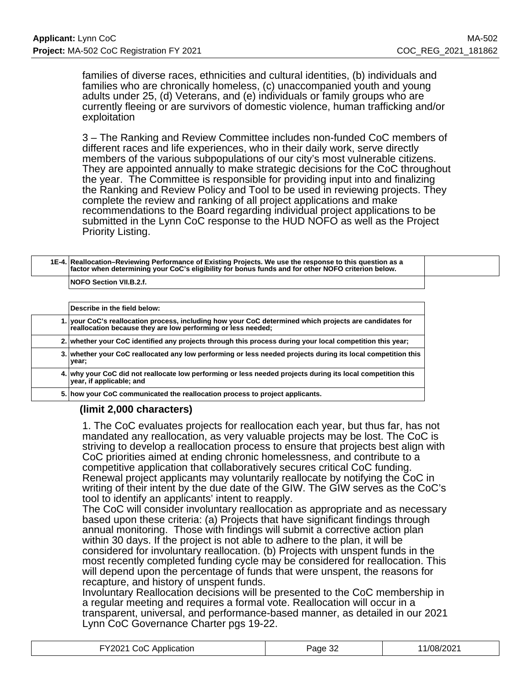families of diverse races, ethnicities and cultural identities, (b) individuals and families who are chronically homeless, (c) unaccompanied youth and young adults under 25, (d) Veterans, and (e) individuals or family groups who are currently fleeing or are survivors of domestic violence, human trafficking and/or exploitation

3 – The Ranking and Review Committee includes non-funded CoC members of different races and life experiences, who in their daily work, serve directly members of the various subpopulations of our city's most vulnerable citizens. They are appointed annually to make strategic decisions for the CoC throughout the year. The Committee is responsible for providing input into and finalizing the Ranking and Review Policy and Tool to be used in reviewing projects. They complete the review and ranking of all project applications and make recommendations to the Board regarding individual project applications to be submitted in the Lynn CoC response to the HUD NOFO as well as the Project Priority Listing.

### **1E-4. Reallocation–Reviewing Performance of Existing Projects. We use the response to this question as a factor when determining your CoC's eligibility for bonus funds and for other NOFO criterion below.**

**NOFO Section VII.B.2.f.**

| Describe in the field below:                                                                                                                                            |
|-------------------------------------------------------------------------------------------------------------------------------------------------------------------------|
| 1. your CoC's reallocation process, including how your CoC determined which projects are candidates for<br>reallocation because they are low performing or less needed; |
| 2. Whether your CoC identified any projects through this process during your local competition this year;                                                               |
| 3. whether your CoC reallocated any low performing or less needed projects during its local competition this<br>year;                                                   |
| 4. why your CoC did not reallocate low performing or less needed projects during its local competition this<br>year, if applicable; and                                 |
| 5. how your CoC communicated the reallocation process to project applicants.                                                                                            |

# **(limit 2,000 characters)**

1. The CoC evaluates projects for reallocation each year, but thus far, has not mandated any reallocation, as very valuable projects may be lost. The CoC is striving to develop a reallocation process to ensure that projects best align with CoC priorities aimed at ending chronic homelessness, and contribute to a competitive application that collaboratively secures critical CoC funding. Renewal project applicants may voluntarily reallocate by notifying the CoC in writing of their intent by the due date of the GIW. The GIW serves as the CoC's tool to identify an applicants' intent to reapply.

The CoC will consider involuntary reallocation as appropriate and as necessary based upon these criteria: (a) Projects that have significant findings through annual monitoring. Those with findings will submit a corrective action plan within 30 days. If the project is not able to adhere to the plan, it will be considered for involuntary reallocation. (b) Projects with unspent funds in the most recently completed funding cycle may be considered for reallocation. This will depend upon the percentage of funds that were unspent, the reasons for recapture, and history of unspent funds.

Involuntary Reallocation decisions will be presented to the CoC membership in a regular meeting and requires a formal vote. Reallocation will occur in a transparent, universal, and performance-based manner, as detailed in our 2021 Lynn CoC Governance Charter pgs 19-22.

| FY2021 CoC Application | Page 32 | 1/08/2021 |
|------------------------|---------|-----------|
|------------------------|---------|-----------|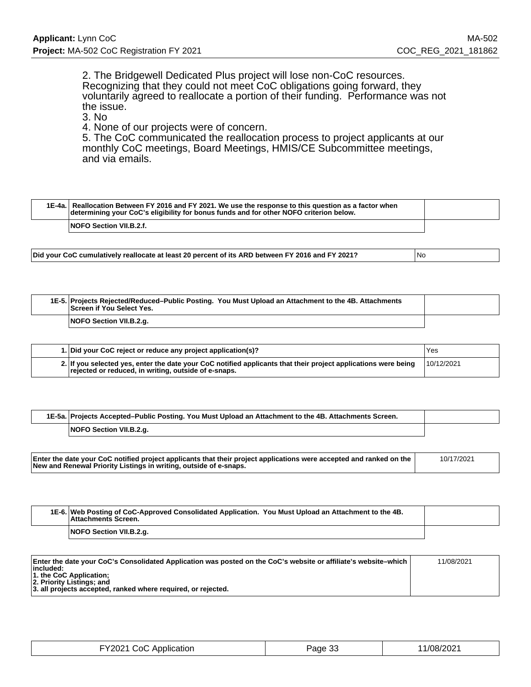2. The Bridgewell Dedicated Plus project will lose non-CoC resources. Recognizing that they could not meet CoC obligations going forward, they voluntarily agreed to reallocate a portion of their funding. Performance was not the issue.

3. No

4. None of our projects were of concern.

5. The CoC communicated the reallocation process to project applicants at our monthly CoC meetings, Board Meetings, HMIS/CE Subcommittee meetings, and via emails.

|  | 1E-4a. Reallocation Between FY 2016 and FY 2021. We use the response to this question as a factor when<br>determining your CoC's eligibility for bonus funds and for other NOFO criterion below. |  |
|--|--------------------------------------------------------------------------------------------------------------------------------------------------------------------------------------------------|--|
|  | <b>NOFO Section VII.B.2.f.</b>                                                                                                                                                                   |  |

**Did your CoC cumulatively reallocate at least 20 percent of its ARD between FY 2016 and FY 2021?** No

| 1E-5. Projects Rejected/Reduced–Public Posting. You Must Upload an Attachment to the 4B. Attachments<br>Screen if You Select Yes. |  |
|-----------------------------------------------------------------------------------------------------------------------------------|--|
| NOFO Section VII.B.2.g.                                                                                                           |  |

| 1. Did your CoC reject or reduce any project application(s)?                                                                                                           | Yes        |
|------------------------------------------------------------------------------------------------------------------------------------------------------------------------|------------|
| 2. If you selected yes, enter the date your CoC notified applicants that their project applications were being<br>rejected or reduced, in writing, outside of e-snaps. | 10/12/2021 |

| 1E-5a. Projects Accepted–Public Posting. You Must Upload an Attachment to the 4B. Attachments Screen. |  |
|-------------------------------------------------------------------------------------------------------|--|
| NOFO Section VII.B.2.g.                                                                               |  |

| Enter the date your CoC notified project applicants that their project applications were accepted and ranked on the $\vert$ New and Renewal Priority Listings in writing, outside of e-snaps.<br>10/17/2021 |
|-------------------------------------------------------------------------------------------------------------------------------------------------------------------------------------------------------------|
|-------------------------------------------------------------------------------------------------------------------------------------------------------------------------------------------------------------|

| 1E-6. Web Posting of CoC-Approved Consolidated Application. You Must Upload an Attachment to the 4B.<br>Attachments Screen. |  |
|-----------------------------------------------------------------------------------------------------------------------------|--|
| NOFO Section VII.B.2.g.                                                                                                     |  |

| Enter the date your CoC's Consolidated Application was posted on the CoC's website or affiliate's website–which | 11/08/2021 |
|-----------------------------------------------------------------------------------------------------------------|------------|
| included:                                                                                                       |            |
| $\vert$ 1. the CoC Application;<br>2. Priority Listings; and                                                    |            |
| 3. all projects accepted, ranked where required, or rejected.                                                   |            |

| FY2021 CoC Application | Page 33 | 11/08/2021 |
|------------------------|---------|------------|
|------------------------|---------|------------|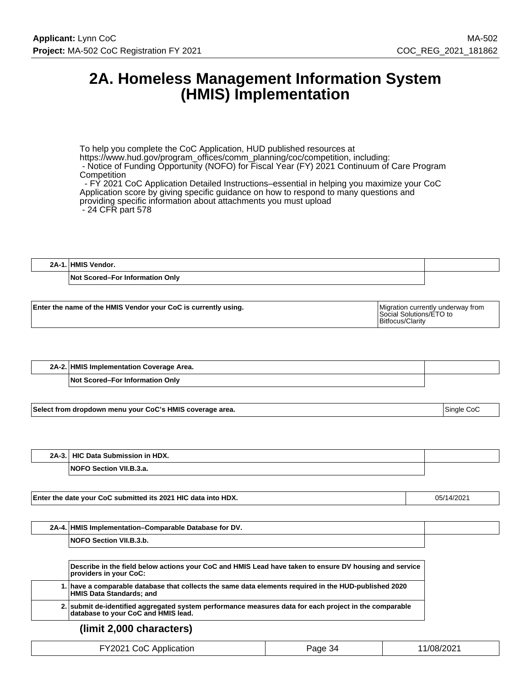# **2A. Homeless Management Information System (HMIS) Implementation**

To help you complete the CoC Application, HUD published resources at https://www.hud.gov/program\_offices/comm\_planning/coc/competition, including: - Notice of Funding Opportunity (NOFO) for Fiscal Year (FY) 2021 Continuum of Care Program **Competition**  - FY 2021 CoC Application Detailed Instructions–essential in helping you maximize your CoC Application score by giving specific guidance on how to respond to many questions and providing specific information about attachments you must upload

- 24 CFR part 578

| 9Δ. | HМ<br>Vendor.                   |  |
|-----|---------------------------------|--|
|     | Not Scored–For Information Only |  |

| Enter the name of the HMIS Vendor your CoC is currently using. | Migration currently underway from<br>Social Solutions/ETO to<br>Bitfocus/Clarity |
|----------------------------------------------------------------|----------------------------------------------------------------------------------|
|                                                                |                                                                                  |

| 2A-2.1 | . HMIS Implementation Coverage Area. |  |
|--------|--------------------------------------|--|
|        | Not<br>، Scored–For Information Onlv |  |

**Select from dropdown menu your CoC's HMIS coverage area.** Single CoC states and the state of the states of the states of the states of the states of the states of the states of the states of the states of the states of th

**2A-3. HIC Data Submission in HDX. NOFO Section VII.B.3.a.**

**Enter the date your CoC submitted its 2021 HIC data into HDX. Cancel 2021 112 12:05/14/2021** 

| $2A-4.1$ | <b>HMIS Implementation–Comparable Database for DV.</b> |  |
|----------|--------------------------------------------------------|--|
|          | Section VII.B.3.b.<br><b>NOFC</b>                      |  |

**Describe in the field below actions your CoC and HMIS Lead have taken to ensure DV housing and service providers in your CoC: 1. have a comparable database that collects the same data elements required in the HUD-published 2020 HMIS Data Standards; and 2. submit de-identified aggregated system performance measures data for each project in the comparable database to your CoC and HMIS lead.**

### **(limit 2,000 characters)**

| FY2021 CoC Application | Page 34 | 11/08/2021 |
|------------------------|---------|------------|
|------------------------|---------|------------|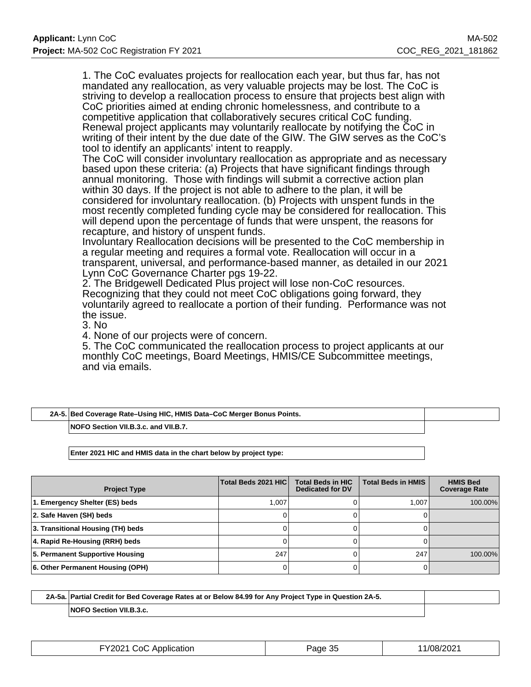1. The CoC evaluates projects for reallocation each year, but thus far, has not mandated any reallocation, as very valuable projects may be lost. The CoC is striving to develop a reallocation process to ensure that projects best align with CoC priorities aimed at ending chronic homelessness, and contribute to a competitive application that collaboratively secures critical CoC funding. Renewal project applicants may voluntarily reallocate by notifying the CoC in writing of their intent by the due date of the GIW. The GIW serves as the CoC's tool to identify an applicants' intent to reapply.

The CoC will consider involuntary reallocation as appropriate and as necessary based upon these criteria: (a) Projects that have significant findings through annual monitoring. Those with findings will submit a corrective action plan within 30 days. If the project is not able to adhere to the plan, it will be considered for involuntary reallocation. (b) Projects with unspent funds in the most recently completed funding cycle may be considered for reallocation. This will depend upon the percentage of funds that were unspent, the reasons for recapture, and history of unspent funds.

Involuntary Reallocation decisions will be presented to the CoC membership in a regular meeting and requires a formal vote. Reallocation will occur in a transparent, universal, and performance-based manner, as detailed in our 2021 Lynn CoC Governance Charter pgs 19-22.

2. The Bridgewell Dedicated Plus project will lose non-CoC resources. Recognizing that they could not meet CoC obligations going forward, they voluntarily agreed to reallocate a portion of their funding. Performance was not the issue.

3. No

4. None of our projects were of concern.

5. The CoC communicated the reallocation process to project applicants at our monthly CoC meetings, Board Meetings, HMIS/CE Subcommittee meetings, and via emails.

| 2A-5. Bed Coverage Rate-Using HIC, HMIS Data-CoC Merger Bonus Points. |  |
|-----------------------------------------------------------------------|--|
| NOFO Section VII.B.3.c. and VII.B.7.                                  |  |

**Enter 2021 HIC and HMIS data in the chart below by project type:**

| <b>Project Type</b>               | Total Beds 2021 HIC | <b>Total Beds in HIC</b><br><b>Dedicated for DV</b> | <b>Total Beds in HMIS</b> | <b>HMIS Bed</b><br><b>Coverage Rate</b> |
|-----------------------------------|---------------------|-----------------------------------------------------|---------------------------|-----------------------------------------|
| 1. Emergency Shelter (ES) beds    | 1.007               |                                                     | 1.007                     | 100.00%                                 |
| 2. Safe Haven (SH) beds           |                     |                                                     |                           |                                         |
| 3. Transitional Housing (TH) beds |                     |                                                     |                           |                                         |
| 4. Rapid Re-Housing (RRH) beds    |                     |                                                     |                           |                                         |
| 5. Permanent Supportive Housing   | 247                 |                                                     | 247                       | 100.00%                                 |
| 6. Other Permanent Housing (OPH)  |                     |                                                     |                           |                                         |

| 2A-5a. Partial Credit for Bed Coverage Rates at or Below 84.99 for Any Project Type in Question 2A-5. |  |
|-------------------------------------------------------------------------------------------------------|--|
| <b>NOFO Section VII.B.3.c.</b>                                                                        |  |

| FY2021 CoC Application | Page 35 | 11/08/2021 |
|------------------------|---------|------------|
|------------------------|---------|------------|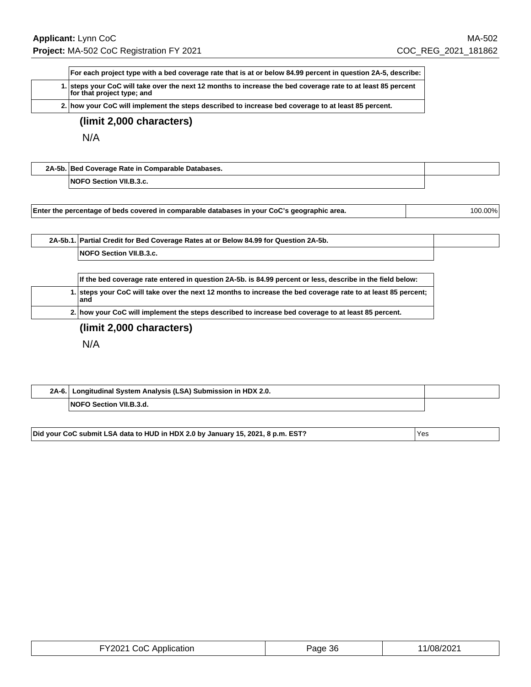| For each project type with a bed coverage rate that is at or below 84.99 percent in question 2A-5, describe:                               |
|--------------------------------------------------------------------------------------------------------------------------------------------|
| 1. steps your CoC will take over the next 12 months to increase the bed coverage rate to at least 85 percent<br>for that project type; and |
| 2. how your CoC will implement the steps described to increase bed coverage to at least 85 percent.                                        |

# **(limit 2,000 characters)**

N/A

| 2A-5b. Bed Coverage Rate in Comparable Databases. |  |
|---------------------------------------------------|--|
| <b>NOFO Section VII.B.3.c.</b>                    |  |

| 2A-5b.1. Partial Credit for Bed Coverage Rates at or Below 84.99 for Question 2A-5b. |  |
|--------------------------------------------------------------------------------------|--|
| <b>NOFO Section VII.B.3.c.</b>                                                       |  |

| If the bed coverage rate entered in question 2A-5b. is 84.99 percent or less, describe in the field below:            |
|-----------------------------------------------------------------------------------------------------------------------|
| 1. steps your CoC will take over the next 12 months to increase the bed coverage rate to at least 85 percent;<br>land |
| 2. how your CoC will implement the steps described to increase bed coverage to at least 85 percent.                   |

**(limit 2,000 characters)**

N/A

| $2A-6.$ | I Longitudinal System Analysis (LSA) Submission in HDX 2.0. |  |
|---------|-------------------------------------------------------------|--|
|         | FO Section VII.B.3.d.<br><b>NOFC</b>                        |  |

Did your CoC submit LSA data to HUD in HDX 2.0 by January 15, 2021, 8 p.m. EST?  $|$  Yes

| EV2021<br>Application<br>ാറി<br>-94<br>. . <b>.</b> . <b>.</b> | Page 36 | ,/08/2021 |
|----------------------------------------------------------------|---------|-----------|
|----------------------------------------------------------------|---------|-----------|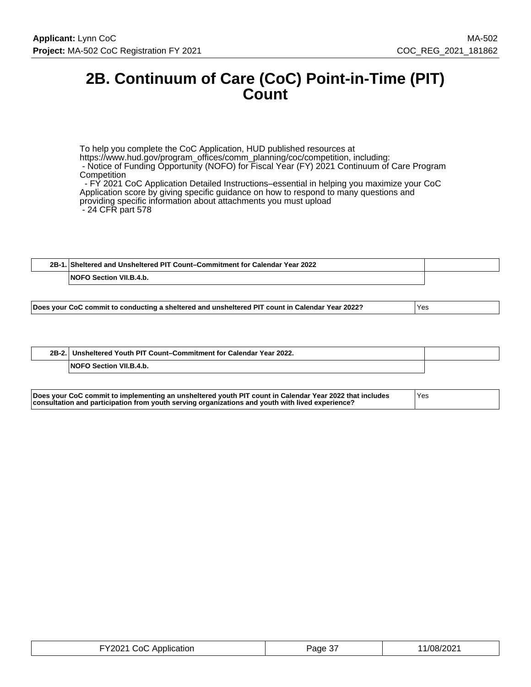# **2B. Continuum of Care (CoC) Point-in-Time (PIT) Count**

To help you complete the CoC Application, HUD published resources at https://www.hud.gov/program\_offices/comm\_planning/coc/competition, including: - Notice of Funding Opportunity (NOFO) for Fiscal Year (FY) 2021 Continuum of Care Program **Competition**  - FY 2021 CoC Application Detailed Instructions–essential in helping you maximize your CoC Application score by giving specific guidance on how to respond to many questions and providing specific information about attachments you must upload - 24 CFR part 578

| $2B-1$ | Sheltered and Unsheltered PIT Count–Commitment for Calendar Year 2022. |  |
|--------|------------------------------------------------------------------------|--|
|        | Section VII.B.4.b.<br><b>NOFO</b>                                      |  |

| $2B-2.$ | Unsheltered Youth PIT Count-Commitment for Calendar Year 2022. |  |
|---------|----------------------------------------------------------------|--|
|         | <b>NOFO Section VII.B.4.b.</b>                                 |  |

| Does your CoC commit to implementing an unsheltered youth PIT count in Calendar Year 2022 that includes | 'Yes |
|---------------------------------------------------------------------------------------------------------|------|
| consultation and participation from youth serving organizations and youth with lived experience?        |      |

| FY2021 CoC Application | $\sim$<br>Page 3, | 11/08/2021 |
|------------------------|-------------------|------------|
|------------------------|-------------------|------------|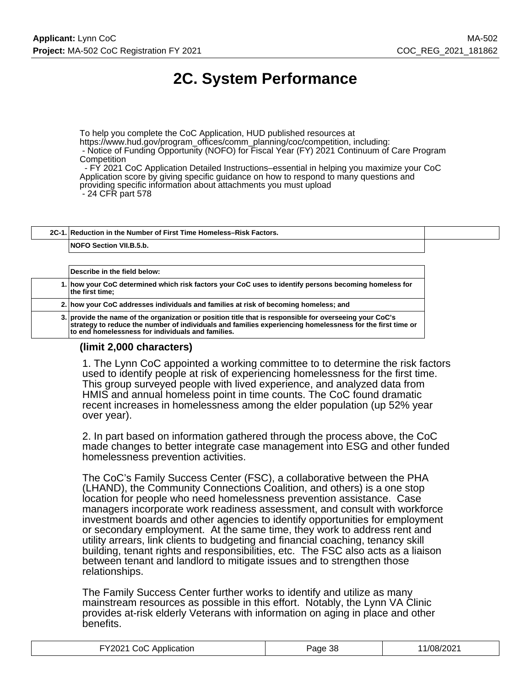# **2C. System Performance**

To help you complete the CoC Application, HUD published resources at https://www.hud.gov/program\_offices/comm\_planning/coc/competition, including: - Notice of Funding Opportunity (NOFO) for Fiscal Year (FY) 2021 Continuum of Care Program **Competition** 

 - FY 2021 CoC Application Detailed Instructions–essential in helping you maximize your CoC Application score by giving specific guidance on how to respond to many questions and providing specific information about attachments you must upload - 24 CFR part 578

**2C-1. Reduction in the Number of First Time Homeless–Risk Factors. NOFO Section VII.B.5.b.**

**Describe in the field below: 1. how your CoC determined which risk factors your CoC uses to identify persons becoming homeless for the first time; 2. how your CoC addresses individuals and families at risk of becoming homeless; and 3. provide the name of the organization or position title that is responsible for overseeing your CoC's strategy to reduce the number of individuals and families experiencing homelessness for the first time or to end homelessness for individuals and families.**

### **(limit 2,000 characters)**

1. The Lynn CoC appointed a working committee to to determine the risk factors used to identify people at risk of experiencing homelessness for the first time. This group surveyed people with lived experience, and analyzed data from HMIS and annual homeless point in time counts. The CoC found dramatic recent increases in homelessness among the elder population (up 52% year over year).

2. In part based on information gathered through the process above, the CoC made changes to better integrate case management into ESG and other funded homelessness prevention activities.

The CoC's Family Success Center (FSC), a collaborative between the PHA (LHAND), the Community Connections Coalition, and others) is a one stop location for people who need homelessness prevention assistance. Case managers incorporate work readiness assessment, and consult with workforce investment boards and other agencies to identify opportunities for employment or secondary employment. At the same time, they work to address rent and utility arrears, link clients to budgeting and financial coaching, tenancy skill building, tenant rights and responsibilities, etc. The FSC also acts as a liaison between tenant and landlord to mitigate issues and to strengthen those relationships.

The Family Success Center further works to identify and utilize as many mainstream resources as possible in this effort. Notably, the Lynn VA Clinic provides at-risk elderly Veterans with information on aging in place and other benefits.

| FY2021 CoC Application | Page 38 | 11/08/2021 |
|------------------------|---------|------------|
|------------------------|---------|------------|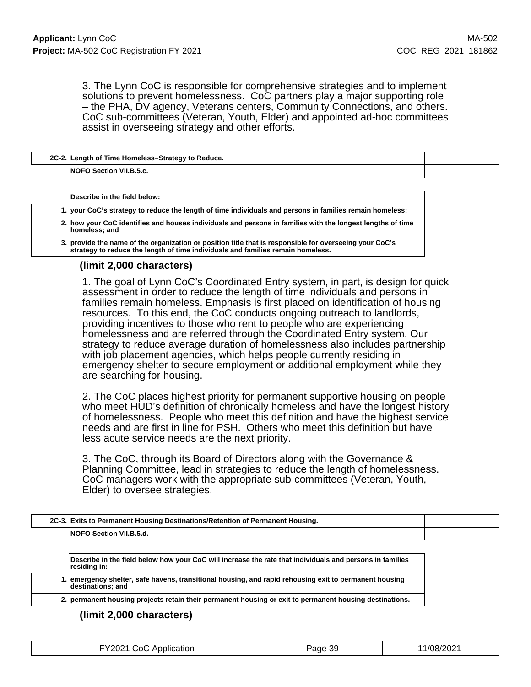3. The Lynn CoC is responsible for comprehensive strategies and to implement solutions to prevent homelessness. CoC partners play a major supporting role – the PHA, DV agency, Veterans centers, Community Connections, and others. CoC sub-committees (Veteran, Youth, Elder) and appointed ad-hoc committees assist in overseeing strategy and other efforts.

| 2C-2. Length of Time Homeless-Strategy to Reduce. |  |
|---------------------------------------------------|--|
| <b>NOFO Section VII.B.5.c.</b>                    |  |
|                                                   |  |

| Describe in the field below:                                                                                                                                                               |
|--------------------------------------------------------------------------------------------------------------------------------------------------------------------------------------------|
| 1. your CoC's strategy to reduce the length of time individuals and persons in families remain homeless;                                                                                   |
| 2. how your CoC identifies and houses individuals and persons in families with the longest lengths of time<br>homeless; and                                                                |
| 3. provide the name of the organization or position title that is responsible for overseeing your CoC's<br>strategy to reduce the length of time individuals and families remain homeless. |

### **(limit 2,000 characters)**

1. The goal of Lynn CoC's Coordinated Entry system, in part, is design for quick assessment in order to reduce the length of time individuals and persons in families remain homeless. Emphasis is first placed on identification of housing resources. To this end, the CoC conducts ongoing outreach to landlords, providing incentives to those who rent to people who are experiencing homelessness and are referred through the Coordinated Entry system. Our strategy to reduce average duration of homelessness also includes partnership with job placement agencies, which helps people currently residing in emergency shelter to secure employment or additional employment while they are searching for housing.

2. The CoC places highest priority for permanent supportive housing on people who meet HUD's definition of chronically homeless and have the longest history of homelessness. People who meet this definition and have the highest service needs and are first in line for PSH. Others who meet this definition but have less acute service needs are the next priority.

3. The CoC, through its Board of Directors along with the Governance & Planning Committee, lead in strategies to reduce the length of homelessness. CoC managers work with the appropriate sub-committees (Veteran, Youth, Elder) to oversee strategies.

| 2C-3. Exits to Permanent Housing Destinations/Retention of Permanent Housing.                                               |
|-----------------------------------------------------------------------------------------------------------------------------|
| <b>NOFO Section VII.B.5.d.</b>                                                                                              |
| Describe in the field below how your CoC will increase the rate that individuals and persons in families<br>residing in:    |
| l. emergency shelter, safe havens, transitional housing, and rapid rehousing exit to permanent housing<br>destinations; and |
| 2. permanent housing projects retain their permanent housing or exit to permanent housing destinations.                     |

### **(limit 2,000 characters)**

| FY2021 CoC Application<br>the contract of the contract of the contract of the contract of the contract of the contract of the contract of | Page 39 | 11/08/2021 |
|-------------------------------------------------------------------------------------------------------------------------------------------|---------|------------|
|-------------------------------------------------------------------------------------------------------------------------------------------|---------|------------|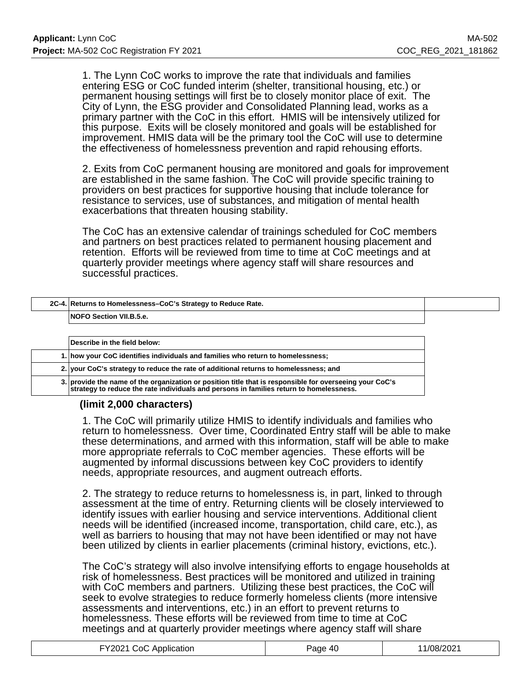1. The Lynn CoC works to improve the rate that individuals and families entering ESG or CoC funded interim (shelter, transitional housing, etc.) or permanent housing settings will first be to closely monitor place of exit. The City of Lynn, the ESG provider and Consolidated Planning lead, works as a primary partner with the CoC in this effort. HMIS will be intensively utilized for this purpose. Exits will be closely monitored and goals will be established for improvement. HMIS data will be the primary tool the CoC will use to determine the effectiveness of homelessness prevention and rapid rehousing efforts.

2. Exits from CoC permanent housing are monitored and goals for improvement are established in the same fashion. The CoC will provide specific training to providers on best practices for supportive housing that include tolerance for resistance to services, use of substances, and mitigation of mental health exacerbations that threaten housing stability.

The CoC has an extensive calendar of trainings scheduled for CoC members and partners on best practices related to permanent housing placement and retention. Efforts will be reviewed from time to time at CoC meetings and at quarterly provider meetings where agency staff will share resources and successful practices.

| 2C-4. Returns to Homelessness-CoC's Strategy to Reduce Rate.                                                                                                                                              |
|-----------------------------------------------------------------------------------------------------------------------------------------------------------------------------------------------------------|
| NOFO Section VII.B.5.e.                                                                                                                                                                                   |
|                                                                                                                                                                                                           |
| Describe in the field below:                                                                                                                                                                              |
| 1. how your CoC identifies individuals and families who return to homelessness;                                                                                                                           |
| 2. your CoC's strategy to reduce the rate of additional returns to homelessness; and                                                                                                                      |
| 3. provide the name of the organization or position title that is responsible for overseeing your CoC's<br>$\mid$ strategy to reduce the rate individuals and persons in families return to homelessness. |

# **(limit 2,000 characters)**

1. The CoC will primarily utilize HMIS to identify individuals and families who return to homelessness. Over time, Coordinated Entry staff will be able to make these determinations, and armed with this information, staff will be able to make more appropriate referrals to CoC member agencies. These efforts will be augmented by informal discussions between key CoC providers to identify needs, appropriate resources, and augment outreach efforts.

2. The strategy to reduce returns to homelessness is, in part, linked to through assessment at the time of entry. Returning clients will be closely interviewed to identify issues with earlier housing and service interventions. Additional client needs will be identified (increased income, transportation, child care, etc.), as well as barriers to housing that may not have been identified or may not have been utilized by clients in earlier placements (criminal history, evictions, etc.).

The CoC's strategy will also involve intensifying efforts to engage households at risk of homelessness. Best practices will be monitored and utilized in training with CoC members and partners. Utilizing these best practices, the CoC will seek to evolve strategies to reduce formerly homeless clients (more intensive assessments and interventions, etc.) in an effort to prevent returns to homelessness. These efforts will be reviewed from time to time at CoC meetings and at quarterly provider meetings where agency staff will share

| FY2021 CoC Application | Page 40 | 11/08/2021 |
|------------------------|---------|------------|
|                        |         |            |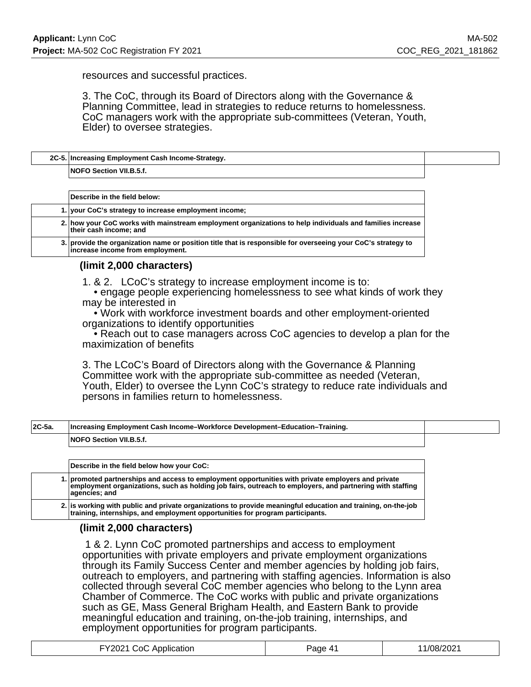resources and successful practices.

3. The CoC, through its Board of Directors along with the Governance & Planning Committee, lead in strategies to reduce returns to homelessness. CoC managers work with the appropriate sub-committees (Veteran, Youth, Elder) to oversee strategies.

| 2C-5. Increasing Employment Cash Income-Strategy. |  |
|---------------------------------------------------|--|
| <b>NOFO Section VII.B.5.f.</b>                    |  |

|  | Describe in the field below:                                                                                                                     |
|--|--------------------------------------------------------------------------------------------------------------------------------------------------|
|  | 1. your CoC's strategy to increase employment income;                                                                                            |
|  | 2. how your CoC works with mainstream employment organizations to help individuals and families increase<br>their cash income; and               |
|  | 3. provide the organization name or position title that is responsible for overseeing your CoC's strategy to<br>increase income from employment. |

### **(limit 2,000 characters)**

1. & 2. LCoC's strategy to increase employment income is to:

 • engage people experiencing homelessness to see what kinds of work they may be interested in

 • Work with workforce investment boards and other employment-oriented organizations to identify opportunities

 • Reach out to case managers across CoC agencies to develop a plan for the maximization of benefits

3. The LCoC's Board of Directors along with the Governance & Planning Committee work with the appropriate sub-committee as needed (Veteran, Youth, Elder) to oversee the Lynn CoC's strategy to reduce rate individuals and persons in families return to homelessness.

| $ 2C-5a $ | <b>Increasing Employment Cash Income-Workforce Development-Education-Training.</b> |  |
|-----------|------------------------------------------------------------------------------------|--|
|           | <b>NOFO Section VII.B.5.f.</b>                                                     |  |

**Describe in the field below how your CoC: 1. promoted partnerships and access to employment opportunities with private employers and private employment organizations, such as holding job fairs, outreach to employers, and partnering with staffing agencies; and**

**2. is working with public and private organizations to provide meaningful education and training, on-the-job training, internships, and employment opportunities for program participants.**

### **(limit 2,000 characters)**

 1 & 2. Lynn CoC promoted partnerships and access to employment opportunities with private employers and private employment organizations through its Family Success Center and member agencies by holding job fairs, outreach to employers, and partnering with staffing agencies. Information is also collected through several CoC member agencies who belong to the Lynn area Chamber of Commerce. The CoC works with public and private organizations such as GE, Mass General Brigham Health, and Eastern Bank to provide meaningful education and training, on-the-job training, internships, and employment opportunities for program participants.

| FY2021 CoC Application | Page 41 | 1/08/2021 |
|------------------------|---------|-----------|
|------------------------|---------|-----------|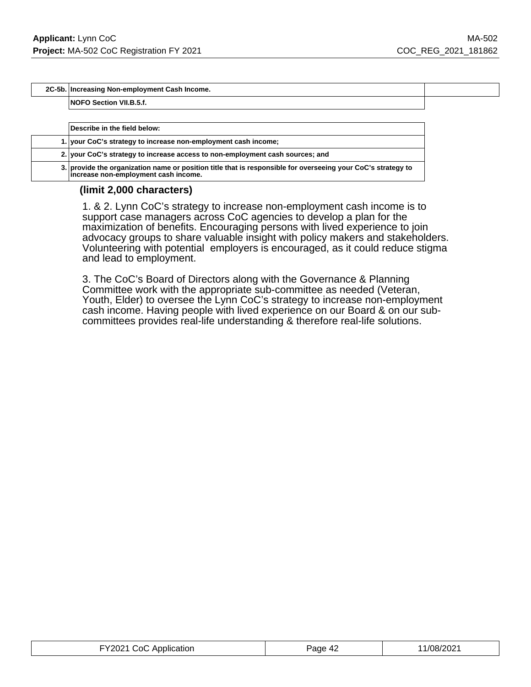**2C-5b. Increasing Non-employment Cash Income.**

**NOFO Section VII.B.5.f.**

| Describe in the field below:                                                                                                                         |
|------------------------------------------------------------------------------------------------------------------------------------------------------|
| 1. your CoC's strategy to increase non-employment cash income;                                                                                       |
| 2. your CoC's strategy to increase access to non-employment cash sources; and                                                                        |
| 3. provide the organization name or position title that is responsible for overseeing your CoC's strategy to<br>increase non-employment cash income. |

### **(limit 2,000 characters)**

1. & 2. Lynn CoC's strategy to increase non-employment cash income is to support case managers across CoC agencies to develop a plan for the maximization of benefits. Encouraging persons with lived experience to join advocacy groups to share valuable insight with policy makers and stakeholders. Volunteering with potential employers is encouraged, as it could reduce stigma and lead to employment.

3. The CoC's Board of Directors along with the Governance & Planning Committee work with the appropriate sub-committee as needed (Veteran, Youth, Elder) to oversee the Lynn CoC's strategy to increase non-employment cash income. Having people with lived experience on our Board & on our subcommittees provides real-life understanding & therefore real-life solutions.

| FY2021 CoC Application | Page 42 | 11/08/2021 |
|------------------------|---------|------------|
|------------------------|---------|------------|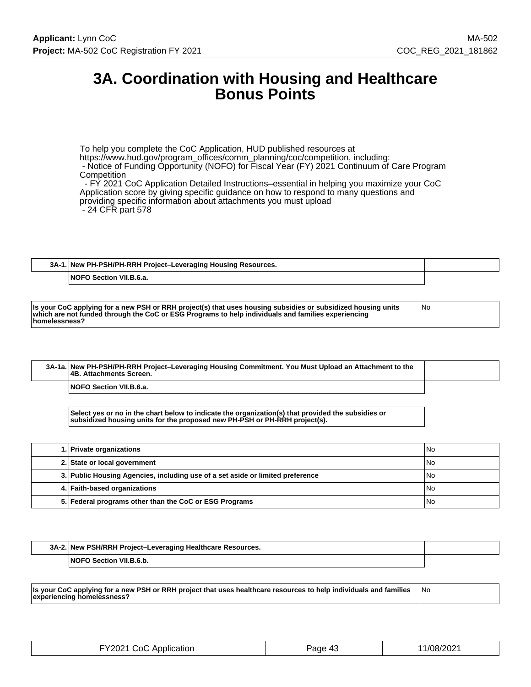# **3A. Coordination with Housing and Healthcare Bonus Points**

To help you complete the CoC Application, HUD published resources at https://www.hud.gov/program\_offices/comm\_planning/coc/competition, including: - Notice of Funding Opportunity (NOFO) for Fiscal Year (FY) 2021 Continuum of Care Program **Competition** - FY 2021 CoC Application Detailed Instructions–essential in helping you maximize your CoC

Application score by giving specific guidance on how to respond to many questions and providing specific information about attachments you must upload - 24 CFR part 578

| 3A-1. New PH-PSH/PH-RRH Project-Leveraging Housing Resources. |  |
|---------------------------------------------------------------|--|
| <b>NOFO Section VII.B.6.a.</b>                                |  |

| Is your CoC applying for a new PSH or RRH project(s) that uses housing subsidies or subsidized housing units<br>which are not funded through the CoC or ESG Programs to help individuals and families experiencing<br>homelessness? | No |
|-------------------------------------------------------------------------------------------------------------------------------------------------------------------------------------------------------------------------------------|----|
|-------------------------------------------------------------------------------------------------------------------------------------------------------------------------------------------------------------------------------------|----|

| 3A-1a. New PH-PSH/PH-RRH Project-Leveraging Housing Commitment. You Must Upload an Attachment to the<br><b>4B. Attachments Screen.</b> |  |
|----------------------------------------------------------------------------------------------------------------------------------------|--|
| <b>NOFO Section VII.B.6.a.</b>                                                                                                         |  |

**Select yes or no in the chart below to indicate the organization(s) that provided the subsidies or subsidized housing units for the proposed new PH-PSH or PH-RRH project(s).**

| 1. Private organizations                                                       | No   |
|--------------------------------------------------------------------------------|------|
| 2. State or local government                                                   | No   |
| 3. Public Housing Agencies, including use of a set aside or limited preference | l No |
| 4. Faith-based organizations                                                   | No   |
| 5. Federal programs other than the CoC or ESG Programs                         | No   |

| 3A-2. New PSH/RRH Project-Leveraging Healthcare Resources. |  |
|------------------------------------------------------------|--|
| <b>NOFO Section VII.B.6.b.</b>                             |  |

**Is your CoC applying for a new PSH or RRH project that uses healthcare resources to help individuals and families experiencing homelessness?** No

| FY2021 CoC Application | Page 43 | 11/08/2021 |
|------------------------|---------|------------|
|------------------------|---------|------------|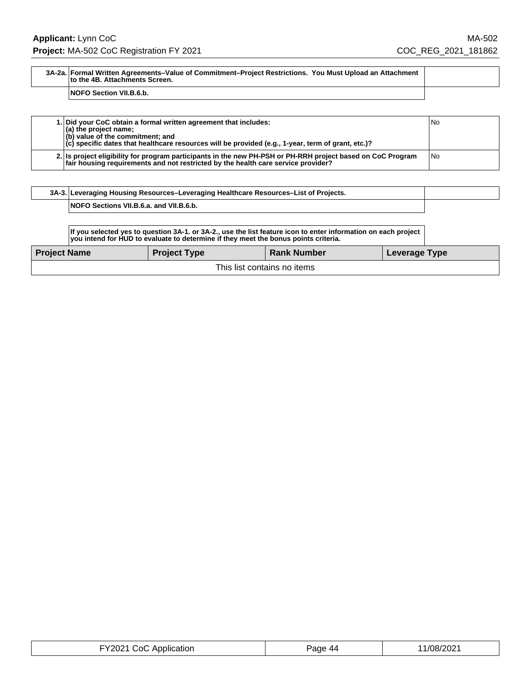### **3A-2a. Formal Written Agreements–Value of Commitment–Project Restrictions. You Must Upload an Attachment to the 4B. Attachments Screen.**

### **NOFO Section VII.B.6.b.**

| 1. Did your CoC obtain a formal written agreement that includes:<br>$\vert$ (a) the project name;<br>$ $ (b) value of the commitment; and<br>$ c $ specific dates that healthcare resources will be provided (e.g., 1-year, term of grant, etc.)? | No   |
|---------------------------------------------------------------------------------------------------------------------------------------------------------------------------------------------------------------------------------------------------|------|
| 2. Is project eligibility for program participants in the new PH-PSH or PH-RRH project based on CoC Program<br>fair housing requirements and not restricted by the health care service provider?                                                  | l No |

| 3A-3. Leveraging Housing Resources-Leveraging Healthcare Resources-List of Projects. |  |
|--------------------------------------------------------------------------------------|--|
| <b>NOFO Sections VII.B.6.a. and VII.B.6.b.</b>                                       |  |

| If you selected yes to question 3A-1. or 3A-2., use the list feature icon to enter information on each project<br>you intend for HUD to evaluate to determine if they meet the bonus points criteria. |                     |                    |               |  |
|-------------------------------------------------------------------------------------------------------------------------------------------------------------------------------------------------------|---------------------|--------------------|---------------|--|
| <b>Project Name</b>                                                                                                                                                                                   | <b>Project Type</b> | <b>Rank Number</b> | Leverage Type |  |
| This list contains no items                                                                                                                                                                           |                     |                    |               |  |

| FY2021 CoC Application | Page 44 | 11/08/2021 |
|------------------------|---------|------------|
|------------------------|---------|------------|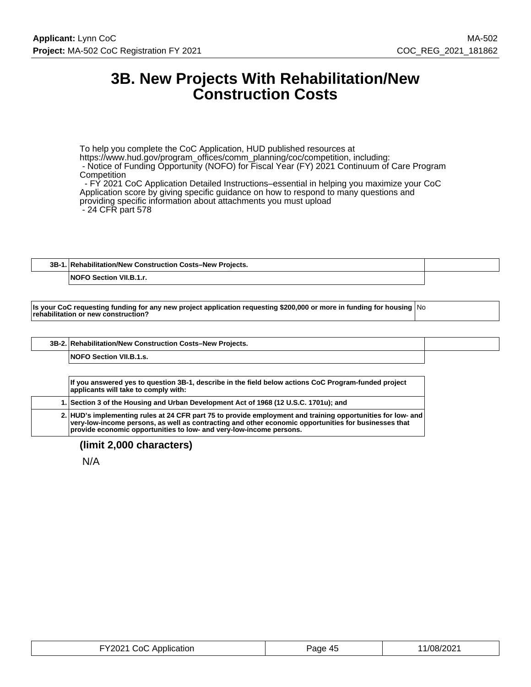# **3B. New Projects With Rehabilitation/New Construction Costs**

To help you complete the CoC Application, HUD published resources at https://www.hud.gov/program\_offices/comm\_planning/coc/competition, including: - Notice of Funding Opportunity (NOFO) for Fiscal Year (FY) 2021 Continuum of Care Program **Competition**  - FY 2021 CoC Application Detailed Instructions–essential in helping you maximize your CoC Application score by giving specific guidance on how to respond to many questions and providing specific information about attachments you must upload

- 24 CFR part 578

# **3B-1. Rehabilitation/New Construction Costs–New Projects.**

**NOFO Section VII.B.1.r.**

**Is your CoC requesting funding for any new project application requesting \$200,000 or more in funding for housing** No **rehabilitation or new construction?**

| 3B-2. Rehabilitation/New Construction Costs-New Projects. |  |
|-----------------------------------------------------------|--|
| <b>NOFO Section VII.B.1.s.</b>                            |  |

**If you answered yes to question 3B-1, describe in the field below actions CoC Program-funded project applicants will take to comply with: 1. Section 3 of the Housing and Urban Development Act of 1968 (12 U.S.C. 1701u); and 2. HUD's implementing rules at 24 CFR part 75 to provide employment and training opportunities for low- and very-low-income persons, as well as contracting and other economic opportunities for businesses that provide economic opportunities to low- and very-low-income persons.**

**(limit 2,000 characters)**

N/A

| FY2021 CoC Application | Page 45 | 1/08/2021 |
|------------------------|---------|-----------|
|------------------------|---------|-----------|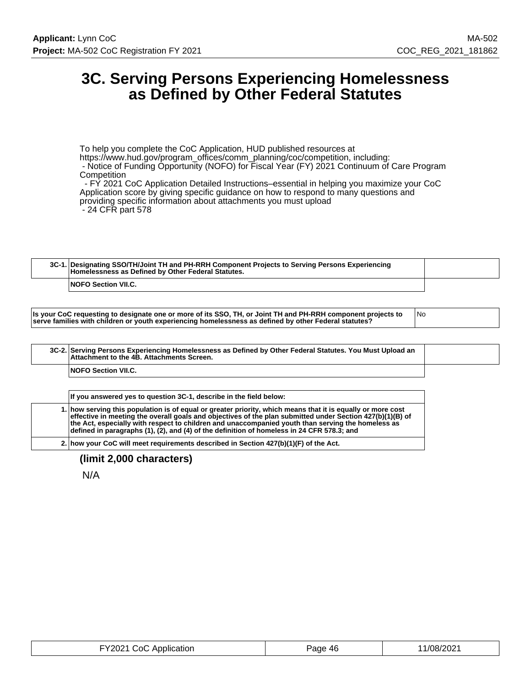# **3C. Serving Persons Experiencing Homelessness as Defined by Other Federal Statutes**

To help you complete the CoC Application, HUD published resources at https://www.hud.gov/program\_offices/comm\_planning/coc/competition, including:

 - Notice of Funding Opportunity (NOFO) for Fiscal Year (FY) 2021 Continuum of Care Program **Competition** 

 - FY 2021 CoC Application Detailed Instructions–essential in helping you maximize your CoC Application score by giving specific guidance on how to respond to many questions and providing specific information about attachments you must upload - 24 CFR part 578

| 3C-1. Designating SSO/TH/Joint TH and PH-RRH Component Projects to Serving Persons Experiencing<br>Homelessness as Defined by Other Federal Statutes. |  |
|-------------------------------------------------------------------------------------------------------------------------------------------------------|--|
| <b>NOFO Section VII.C.</b>                                                                                                                            |  |

| Is your CoC requesting to designate one or more of its SSO, TH, or Joint TH and PH-RRH component projects to |  |
|--------------------------------------------------------------------------------------------------------------|--|
| serve families with children or youth experiencing homelessness as defined by other Federal statutes?        |  |

|  | 3C-2. Serving Persons Experiencing Homelessness as Defined by Other Federal Statutes. You Must Upload an<br>Attachment to the 4B. Attachments Screen. |  |
|--|-------------------------------------------------------------------------------------------------------------------------------------------------------|--|
|  | <b>NOFO Section VII.C.</b>                                                                                                                            |  |
|  |                                                                                                                                                       |  |

| If you answered yes to question 3C-1, describe in the field below:                                                                                                                                                                                                                                                                                                                                                          |
|-----------------------------------------------------------------------------------------------------------------------------------------------------------------------------------------------------------------------------------------------------------------------------------------------------------------------------------------------------------------------------------------------------------------------------|
| 1. how serving this population is of equal or greater priority, which means that it is equally or more cost<br>effective in meeting the overall goals and objectives of the plan submitted under Section 427(b)(1)(B) of<br>the Act, especially with respect to children and unaccompanied youth than serving the homeless as<br>defined in paragraphs (1), (2), and (4) of the definition of homeless in 24 CFR 578.3; and |
| 2. how your CoC will meet requirements described in Section $427(b)(1)(F)$ of the Act.                                                                                                                                                                                                                                                                                                                                      |

# **(limit 2,000 characters)**

N/A

| FY2021 CoC Application | Page 46 | 11/08/2021 |
|------------------------|---------|------------|
|------------------------|---------|------------|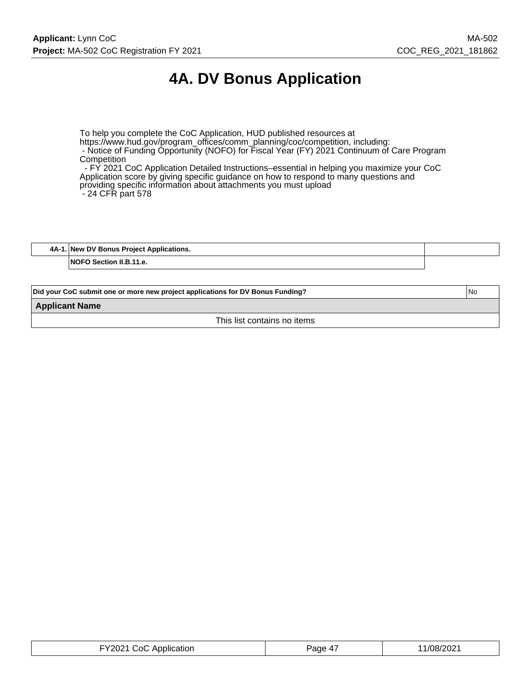# **4A. DV Bonus Application**

To help you complete the CoC Application, HUD published resources at https://www.hud.gov/program\_offices/comm\_planning/coc/competition, including: - Notice of Funding Opportunity (NOFO) for Fiscal Year (FY) 2021 Continuum of Care Program **Competition** - FY 2021 CoC Application Detailed Instructions–essential in helping you maximize your CoC

Application score by giving specific guidance on how to respond to many questions and providing specific information about attachments you must upload - 24 CFR part 578

**4A-1. New DV Bonus Project Applications. NOFO Section II.B.11.e.**

| <b>INo</b><br>Did your CoC submit one or more new project applications for DV Bonus Funding? |  |
|----------------------------------------------------------------------------------------------|--|
| <b>Applicant Name</b>                                                                        |  |
| This list contains no items                                                                  |  |

| FY2021 CoC Application | Page 4, | 11/08/2021 |
|------------------------|---------|------------|
|------------------------|---------|------------|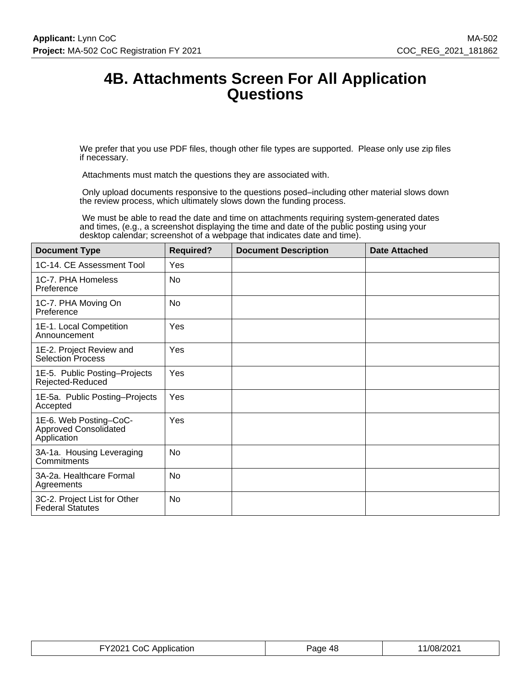# **4B. Attachments Screen For All Application Questions**

We prefer that you use PDF files, though other file types are supported. Please only use zip files if necessary.

Attachments must match the questions they are associated with.

 Only upload documents responsive to the questions posed–including other material slows down the review process, which ultimately slows down the funding process.

 We must be able to read the date and time on attachments requiring system-generated dates and times, (e.g., a screenshot displaying the time and date of the public posting using your desktop calendar; screenshot of a webpage that indicates date and time).

| <b>Document Type</b>                                                  | <b>Required?</b> | <b>Document Description</b> | <b>Date Attached</b> |
|-----------------------------------------------------------------------|------------------|-----------------------------|----------------------|
| 1C-14. CE Assessment Tool                                             | Yes              |                             |                      |
| 1C-7. PHA Homeless<br>Preference                                      | No               |                             |                      |
| 1C-7. PHA Moving On<br>Preference                                     | <b>No</b>        |                             |                      |
| 1E-1. Local Competition<br>Announcement                               | Yes              |                             |                      |
| 1E-2. Project Review and<br><b>Selection Process</b>                  | Yes              |                             |                      |
| 1E-5. Public Posting-Projects<br>Rejected-Reduced                     | Yes              |                             |                      |
| 1E-5a. Public Posting-Projects<br>Accepted                            | Yes              |                             |                      |
| 1E-6. Web Posting-CoC-<br><b>Approved Consolidated</b><br>Application | Yes              |                             |                      |
| 3A-1a. Housing Leveraging<br>Commitments                              | No               |                             |                      |
| 3A-2a. Healthcare Formal<br>Agreements                                | <b>No</b>        |                             |                      |
| 3C-2. Project List for Other<br><b>Federal Statutes</b>               | No               |                             |                      |

| CoC Application        | 'age | /08/202 |
|------------------------|------|---------|
| FY2021 CoC Application | -48  |         |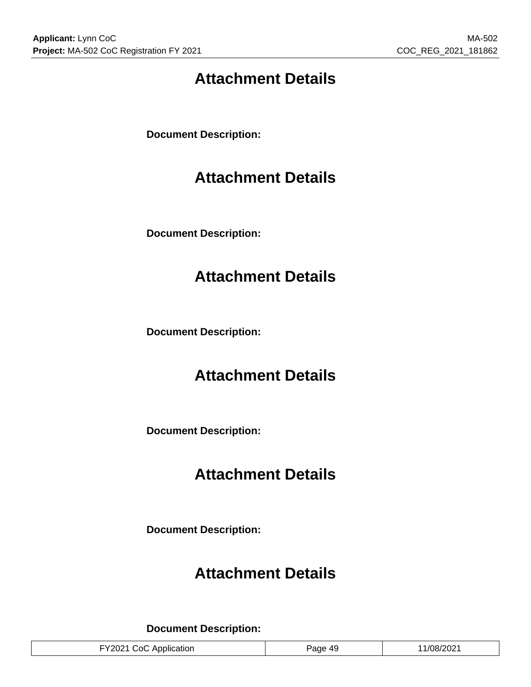# **Attachment Details**

**Document Description:**

# **Attachment Details**

**Document Description:**

# **Attachment Details**

**Document Description:**

# **Attachment Details**

**Document Description:**

# **Attachment Details**

**Document Description:**

# **Attachment Details**

**Document Description:**

| 11/08/2021<br>FY2021 CoC Application<br><sup>5</sup> age 49 |
|-------------------------------------------------------------|
|-------------------------------------------------------------|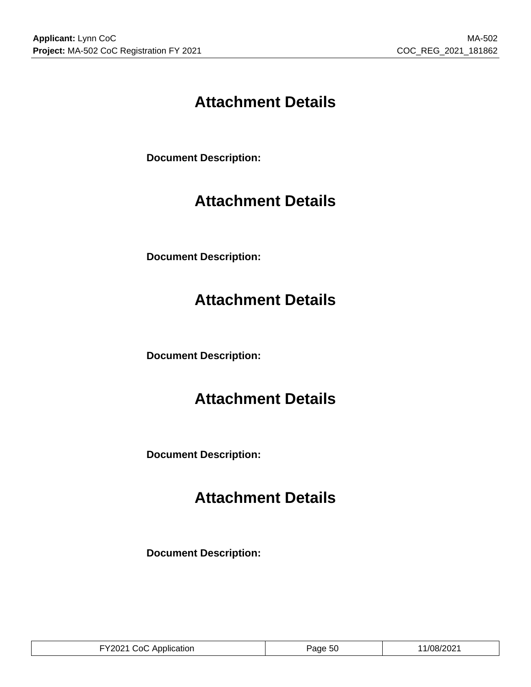# **Attachment Details**

**Document Description:**

# **Attachment Details**

**Document Description:**

# **Attachment Details**

**Document Description:**

# **Attachment Details**

**Document Description:**

# **Attachment Details**

**Document Description:**

|  | FY2021 CoC Application | Page 50 | 11/08/2021 |
|--|------------------------|---------|------------|
|--|------------------------|---------|------------|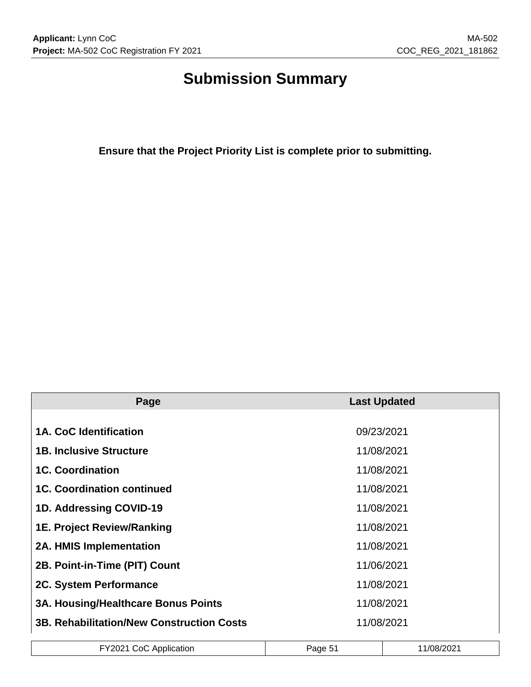# **Submission Summary**

**Ensure that the Project Priority List is complete prior to submitting.**

| Page                                             | <b>Last Updated</b> |
|--------------------------------------------------|---------------------|
|                                                  |                     |
| 1A. CoC Identification                           | 09/23/2021          |
| <b>1B. Inclusive Structure</b>                   | 11/08/2021          |
| <b>1C. Coordination</b>                          | 11/08/2021          |
| <b>1C. Coordination continued</b>                | 11/08/2021          |
| 1D. Addressing COVID-19                          | 11/08/2021          |
| <b>1E. Project Review/Ranking</b>                | 11/08/2021          |
| <b>2A. HMIS Implementation</b>                   | 11/08/2021          |
| 2B. Point-in-Time (PIT) Count                    | 11/06/2021          |
| 2C. System Performance                           | 11/08/2021          |
| <b>3A. Housing/Healthcare Bonus Points</b>       | 11/08/2021          |
| <b>3B. Rehabilitation/New Construction Costs</b> | 11/08/2021          |

| FY2021 CoC ^<br>.<br>Application | Page | 1/08/2021 |
|----------------------------------|------|-----------|
|                                  |      |           |